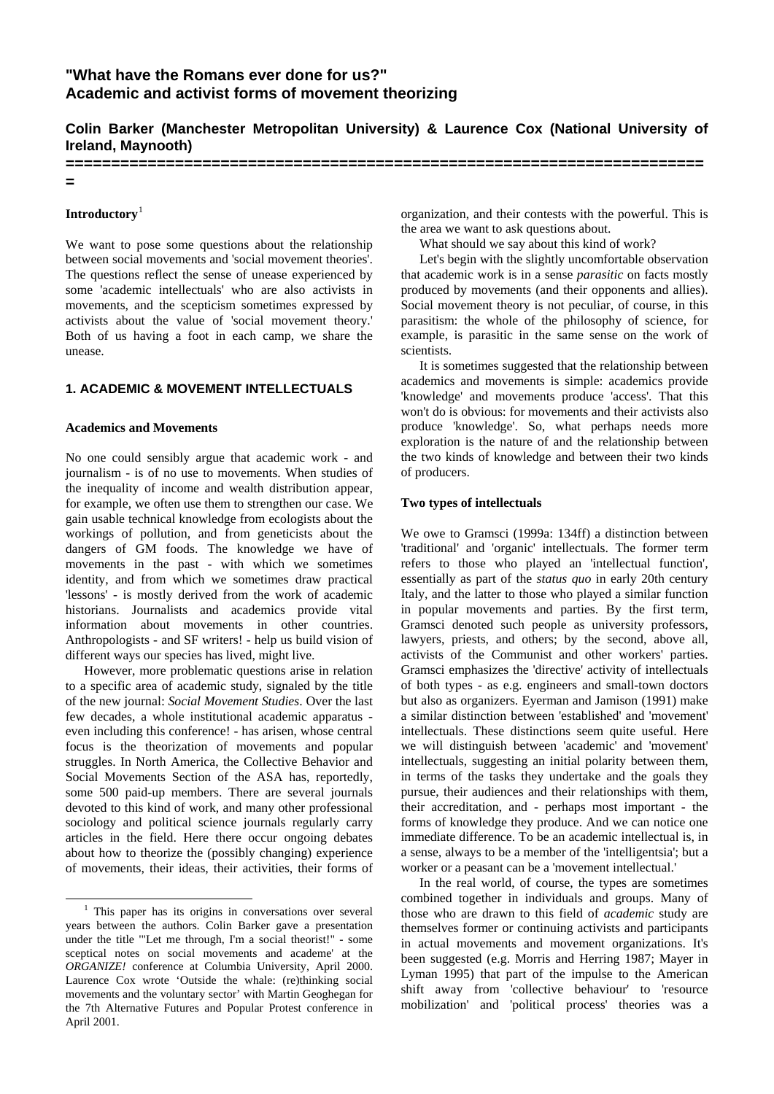# **"What have the Romans ever done for us?" Academic and activist forms of movement theorizing**

# **Colin Barker (Manchester Metropolitan University) & Laurence Cox (National University of Ireland, Maynooth)**

**======================================================================**

**=** 

# **Introductory**[1](#page-0-0)

We want to pose some questions about the relationship between social movements and 'social movement theories'. The questions reflect the sense of unease experienced by some 'academic intellectuals' who are also activists in movements, and the scepticism sometimes expressed by activists about the value of 'social movement theory.' Both of us having a foot in each camp, we share the unease.

# **1. ACADEMIC & MOVEMENT INTELLECTUALS**

### **Academics and Movements**

No one could sensibly argue that academic work - and journalism - is of no use to movements. When studies of the inequality of income and wealth distribution appear, for example, we often use them to strengthen our case. We gain usable technical knowledge from ecologists about the workings of pollution, and from geneticists about the dangers of GM foods. The knowledge we have of movements in the past - with which we sometimes identity, and from which we sometimes draw practical 'lessons' - is mostly derived from the work of academic historians. Journalists and academics provide vital information about movements in other countries. Anthropologists - and SF writers! - help us build vision of different ways our species has lived, might live.

However, more problematic questions arise in relation to a specific area of academic study, signaled by the title of the new journal: *Social Movement Studies*. Over the last few decades, a whole institutional academic apparatus even including this conference! - has arisen, whose central focus is the theorization of movements and popular struggles. In North America, the Collective Behavior and Social Movements Section of the ASA has, reportedly, some 500 paid-up members. There are several journals devoted to this kind of work, and many other professional sociology and political science journals regularly carry articles in the field. Here there occur ongoing debates about how to theorize the (possibly changing) experience of movements, their ideas, their activities, their forms of

organization, and their contests with the powerful. This is the area we want to ask questions about.

What should we say about this kind of work?

Let's begin with the slightly uncomfortable observation that academic work is in a sense *parasitic* on facts mostly produced by movements (and their opponents and allies). Social movement theory is not peculiar, of course, in this parasitism: the whole of the philosophy of science, for example, is parasitic in the same sense on the work of scientists.

It is sometimes suggested that the relationship between academics and movements is simple: academics provide 'knowledge' and movements produce 'access'. That this won't do is obvious: for movements and their activists also produce 'knowledge'. So, what perhaps needs more exploration is the nature of and the relationship between the two kinds of knowledge and between their two kinds of producers.

### **Two types of intellectuals**

We owe to Gramsci (1999a: 134ff) a distinction between 'traditional' and 'organic' intellectuals. The former term refers to those who played an 'intellectual function', essentially as part of the *status quo* in early 20th century Italy, and the latter to those who played a similar function in popular movements and parties. By the first term, Gramsci denoted such people as university professors, lawyers, priests, and others; by the second, above all, activists of the Communist and other workers' parties. Gramsci emphasizes the 'directive' activity of intellectuals of both types - as e.g. engineers and small-town doctors but also as organizers. Eyerman and Jamison (1991) make a similar distinction between 'established' and 'movement' intellectuals. These distinctions seem quite useful. Here we will distinguish between 'academic' and 'movement' intellectuals, suggesting an initial polarity between them, in terms of the tasks they undertake and the goals they pursue, their audiences and their relationships with them, their accreditation, and - perhaps most important - the forms of knowledge they produce. And we can notice one immediate difference. To be an academic intellectual is, in a sense, always to be a member of the 'intelligentsia'; but a worker or a peasant can be a 'movement intellectual.'

In the real world, of course, the types are sometimes combined together in individuals and groups. Many of those who are drawn to this field of *academic* study are themselves former or continuing activists and participants in actual movements and movement organizations. It's been suggested (e.g. Morris and Herring 1987; Mayer in Lyman 1995) that part of the impulse to the American shift away from 'collective behaviour' to 'resource mobilization' and 'political process' theories was a

<span id="page-0-0"></span> $\overline{\phantom{0}1}$  $1$ . This paper has its origins in conversations over several years between the authors. Colin Barker gave a presentation under the title '"Let me through, I'm a social theorist!" - some sceptical notes on social movements and academe' at the *ORGANIZE!* conference at Columbia University, April 2000. Laurence Cox wrote 'Outside the whale: (re)thinking social movements and the voluntary sector' with Martin Geoghegan for the 7th Alternative Futures and Popular Protest conference in April 2001.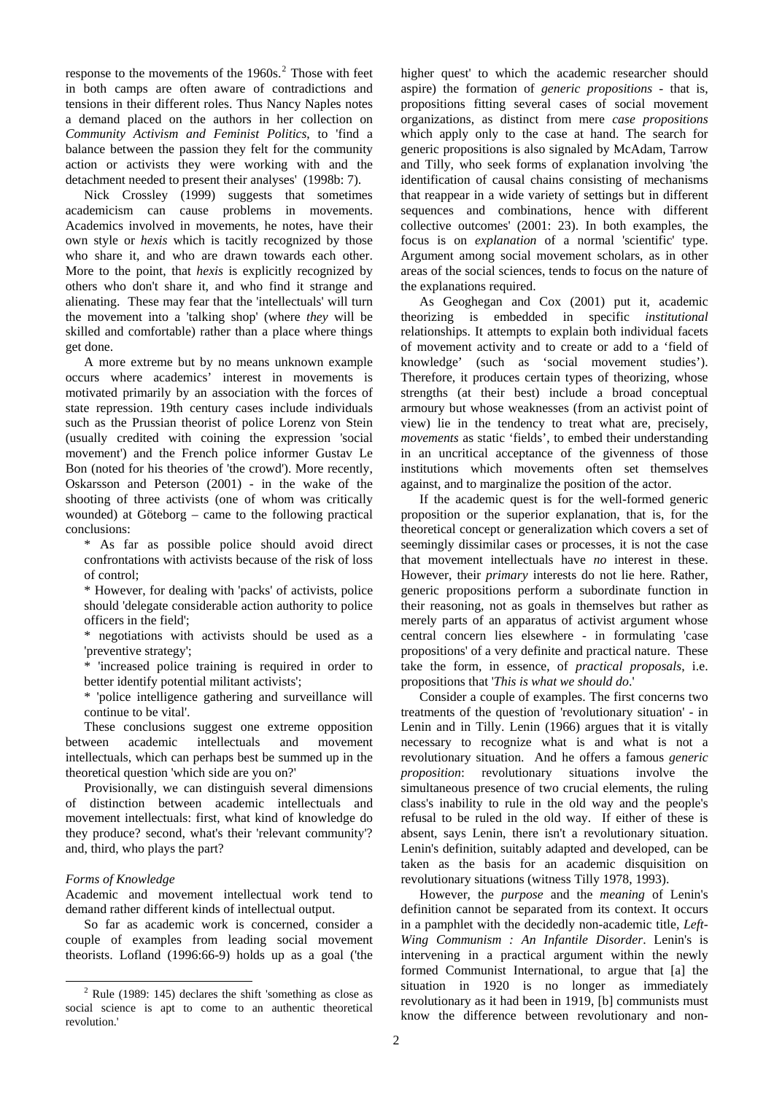response to the movements of the  $1960s$ <sup>[2](#page-1-0)</sup>. Those with feet in both camps are often aware of contradictions and tensions in their different roles. Thus Nancy Naples notes a demand placed on the authors in her collection on *Community Activism and Feminist Politics*, to 'find a balance between the passion they felt for the community action or activists they were working with and the detachment needed to present their analyses' (1998b: 7).

Nick Crossley (1999) suggests that sometimes academicism can cause problems in movements. Academics involved in movements, he notes, have their own style or *hexis* which is tacitly recognized by those who share it, and who are drawn towards each other. More to the point, that *hexis* is explicitly recognized by others who don't share it, and who find it strange and alienating. These may fear that the 'intellectuals' will turn the movement into a 'talking shop' (where *they* will be skilled and comfortable) rather than a place where things get done.

A more extreme but by no means unknown example occurs where academics' interest in movements is motivated primarily by an association with the forces of state repression. 19th century cases include individuals such as the Prussian theorist of police Lorenz von Stein (usually credited with coining the expression 'social movement') and the French police informer Gustav Le Bon (noted for his theories of 'the crowd'). More recently, Oskarsson and Peterson (2001) - in the wake of the shooting of three activists (one of whom was critically wounded) at Göteborg – came to the following practical conclusions:

\* As far as possible police should avoid direct confrontations with activists because of the risk of loss of control;

\* However, for dealing with 'packs' of activists, police should 'delegate considerable action authority to police officers in the field';

\* negotiations with activists should be used as a 'preventive strategy';

\* 'increased police training is required in order to better identify potential militant activists';

\* 'police intelligence gathering and surveillance will continue to be vital'.

These conclusions suggest one extreme opposition between academic intellectuals and movement intellectuals, which can perhaps best be summed up in the theoretical question 'which side are you on?'

Provisionally, we can distinguish several dimensions of distinction between academic intellectuals and movement intellectuals: first, what kind of knowledge do they produce? second, what's their 'relevant community'? and, third, who plays the part?

# *Forms of Knowledge*

Academic and movement intellectual work tend to demand rather different kinds of intellectual output.

So far as academic work is concerned, consider a couple of examples from leading social movement theorists. Lofland (1996:66-9) holds up as a goal ('the higher quest' to which the academic researcher should aspire) the formation of *generic propositions -* that is, propositions fitting several cases of social movement organizations, as distinct from mere *case propositions* which apply only to the case at hand. The search for generic propositions is also signaled by McAdam, Tarrow and Tilly, who seek forms of explanation involving 'the identification of causal chains consisting of mechanisms that reappear in a wide variety of settings but in different sequences and combinations, hence with different collective outcomes' (2001: 23). In both examples, the focus is on *explanation* of a normal 'scientific' type. Argument among social movement scholars, as in other areas of the social sciences, tends to focus on the nature of the explanations required.

As Geoghegan and Cox (2001) put it, academic theorizing is embedded in specific *institutional* relationships. It attempts to explain both individual facets of movement activity and to create or add to a 'field of knowledge' (such as 'social movement studies'). Therefore, it produces certain types of theorizing, whose strengths (at their best) include a broad conceptual armoury but whose weaknesses (from an activist point of view) lie in the tendency to treat what are, precisely, *movements* as static 'fields', to embed their understanding in an uncritical acceptance of the givenness of those institutions which movements often set themselves against, and to marginalize the position of the actor.

If the academic quest is for the well-formed generic proposition or the superior explanation, that is, for the theoretical concept or generalization which covers a set of seemingly dissimilar cases or processes, it is not the case that movement intellectuals have *no* interest in these. However, their *primary* interests do not lie here. Rather, generic propositions perform a subordinate function in their reasoning, not as goals in themselves but rather as merely parts of an apparatus of activist argument whose central concern lies elsewhere - in formulating 'case propositions' of a very definite and practical nature. These take the form, in essence, of *practical proposals*, i.e. propositions that '*This is what we should do*.'

Consider a couple of examples. The first concerns two treatments of the question of 'revolutionary situation' - in Lenin and in Tilly. Lenin (1966) argues that it is vitally necessary to recognize what is and what is not a revolutionary situation. And he offers a famous *generic proposition*: revolutionary situations involve the simultaneous presence of two crucial elements, the ruling class's inability to rule in the old way and the people's refusal to be ruled in the old way. If either of these is absent, says Lenin, there isn't a revolutionary situation. Lenin's definition, suitably adapted and developed, can be taken as the basis for an academic disquisition on revolutionary situations (witness Tilly 1978, 1993).

However, the *purpose* and the *meaning* of Lenin's definition cannot be separated from its context. It occurs in a pamphlet with the decidedly non-academic title, *Left-Wing Communism : An Infantile Disorder*. Lenin's is intervening in a practical argument within the newly formed Communist International, to argue that [a] the situation in 1920 is no longer as immediately revolutionary as it had been in 1919, [b] communists must know the difference between revolutionary and non-

<span id="page-1-0"></span><sup>&</sup>lt;sup>2</sup> Rule (1989: 145) declares the shift 'something as close as social science is apt to come to an authentic theoretical revolution.'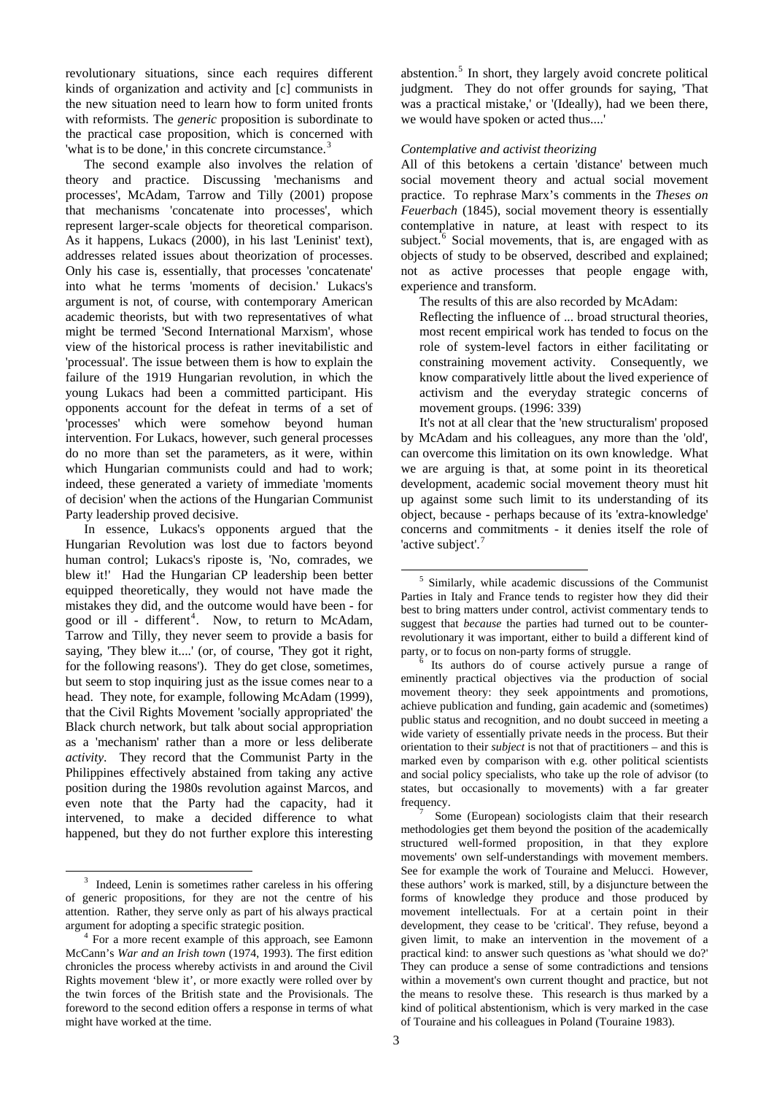revolutionary situations, since each requires different kinds of organization and activity and [c] communists in the new situation need to learn how to form united fronts with reformists. The *generic* proposition is subordinate to the practical case proposition, which is concerned with 'what is to be done,' in this concrete circumstance.<sup>[3](#page-2-0)</sup>

The second example also involves the relation of theory and practice. Discussing 'mechanisms and processes', McAdam, Tarrow and Tilly (2001) propose that mechanisms 'concatenate into processes', which represent larger-scale objects for theoretical comparison. As it happens, Lukacs (2000), in his last 'Leninist' text), addresses related issues about theorization of processes. Only his case is, essentially, that processes 'concatenate' into what he terms 'moments of decision.' Lukacs's argument is not, of course, with contemporary American academic theorists, but with two representatives of what might be termed 'Second International Marxism', whose view of the historical process is rather inevitabilistic and 'processual'. The issue between them is how to explain the failure of the 1919 Hungarian revolution, in which the young Lukacs had been a committed participant. His opponents account for the defeat in terms of a set of 'processes' which were somehow beyond human intervention. For Lukacs, however, such general processes do no more than set the parameters, as it were, within which Hungarian communists could and had to work; indeed, these generated a variety of immediate 'moments of decision' when the actions of the Hungarian Communist Party leadership proved decisive.

<span id="page-2-3"></span><span id="page-2-2"></span>In essence, Lukacs's opponents argued that the Hungarian Revolution was lost due to factors beyond human control; Lukacs's riposte is, 'No, comrades, we blew it!' Had the Hungarian CP leadership been better equipped theoretically, they would not have made the mistakes they did, and the outcome would have been - for good or ill - different<sup>[4](#page-2-1)</sup>. Now, to return to McAdam, Tarrow and Tilly, they never seem to provide a basis for saying, 'They blew it....' (or, of course, 'They got it right, for the following reasons'). They do get close, sometimes, but seem to stop inquiring just as the issue comes near to a head. They note, for example, following McAdam (1999), that the Civil Rights Movement 'socially appropriated' the Black church network, but talk about social appropriation as a 'mechanism' rather than a more or less deliberate *activity*. They record that the Communist Party in the Philippines effectively abstained from taking any active position during the 1980s revolution against Marcos, and even note that the Party had the capacity, had it intervened, to make a decided difference to what happened, but they do not further explore this interesting

<span id="page-2-4"></span> $\overline{a}$ 

abstention.<sup>[5](#page-2-2)</sup> In short, they largely avoid concrete political judgment. They do not offer grounds for saying, 'That was a practical mistake,' or '(Ideally), had we been there, we would have spoken or acted thus....'

### *Contemplative and activist theorizing*

All of this betokens a certain 'distance' between much social movement theory and actual social movement practice. To rephrase Marx's comments in the *Theses on Feuerbach* (1845), social movement theory is essentially contemplative in nature, at least with respect to its subject. $6$  Social movements, that is, are engaged with as objects of study to be observed, described and explained; not as active processes that people engage with, experience and transform.

The results of this are also recorded by McAdam:

Reflecting the influence of ... broad structural theories, most recent empirical work has tended to focus on the role of system-level factors in either facilitating or constraining movement activity. Consequently, we know comparatively little about the lived experience of activism and the everyday strategic concerns of movement groups. (1996: 339)

It's not at all clear that the 'new structuralism' proposed by McAdam and his colleagues, any more than the 'old', can overcome this limitation on its own knowledge. What we are arguing is that, at some point in its theoretical development, academic social movement theory must hit up against some such limit to its understanding of its object, because - perhaps because of its 'extra-knowledge' concerns and commitments - it denies itself the role of 'active subject'.<sup>[7](#page-2-4)</sup>

 Its authors do of course actively pursue a range of eminently practical objectives via the production of social movement theory: they seek appointments and promotions, achieve publication and funding, gain academic and (sometimes) public status and recognition, and no doubt succeed in meeting a wide variety of essentially private needs in the process. But their orientation to their *subject* is not that of practitioners – and this is marked even by comparison with e.g. other political scientists and social policy specialists, who take up the role of advisor (to states, but occasionally to movements) with a far greater frequency.

 Some (European) sociologists claim that their research methodologies get them beyond the position of the academically structured well-formed proposition, in that they explore movements' own self-understandings with movement members. See for example the work of Touraine and Melucci. However, these authors' work is marked, still, by a disjuncture between the forms of knowledge they produce and those produced by movement intellectuals. For at a certain point in their development, they cease to be 'critical'. They refuse, beyond a given limit, to make an intervention in the movement of a practical kind: to answer such questions as 'what should we do?' They can produce a sense of some contradictions and tensions within a movement's own current thought and practice, but not the means to resolve these. This research is thus marked by a kind of political abstentionism, which is very marked in the case of Touraine and his colleagues in Poland (Touraine 1983).

1

<span id="page-2-0"></span><sup>&</sup>lt;sup>3</sup> Indeed, Lenin is sometimes rather careless in his offering of generic propositions, for they are not the centre of his attention. Rather, they serve only as part of his always practical argument for adopting a specific strategic position. 4

<span id="page-2-1"></span><sup>&</sup>lt;sup>4</sup> For a more recent example of this approach, see Eamonn McCann's *War and an Irish town* (1974, 1993). The first edition chronicles the process whereby activists in and around the Civil Rights movement 'blew it', or more exactly were rolled over by the twin forces of the British state and the Provisionals. The foreword to the second edition offers a response in terms of what might have worked at the time.

<sup>5</sup> Similarly, while academic discussions of the Communist Parties in Italy and France tends to register how they did their best to bring matters under control, activist commentary tends to suggest that *because* the parties had turned out to be counterrevolutionary it was important, either to build a different kind of party, or to focus on non-party forms of struggle.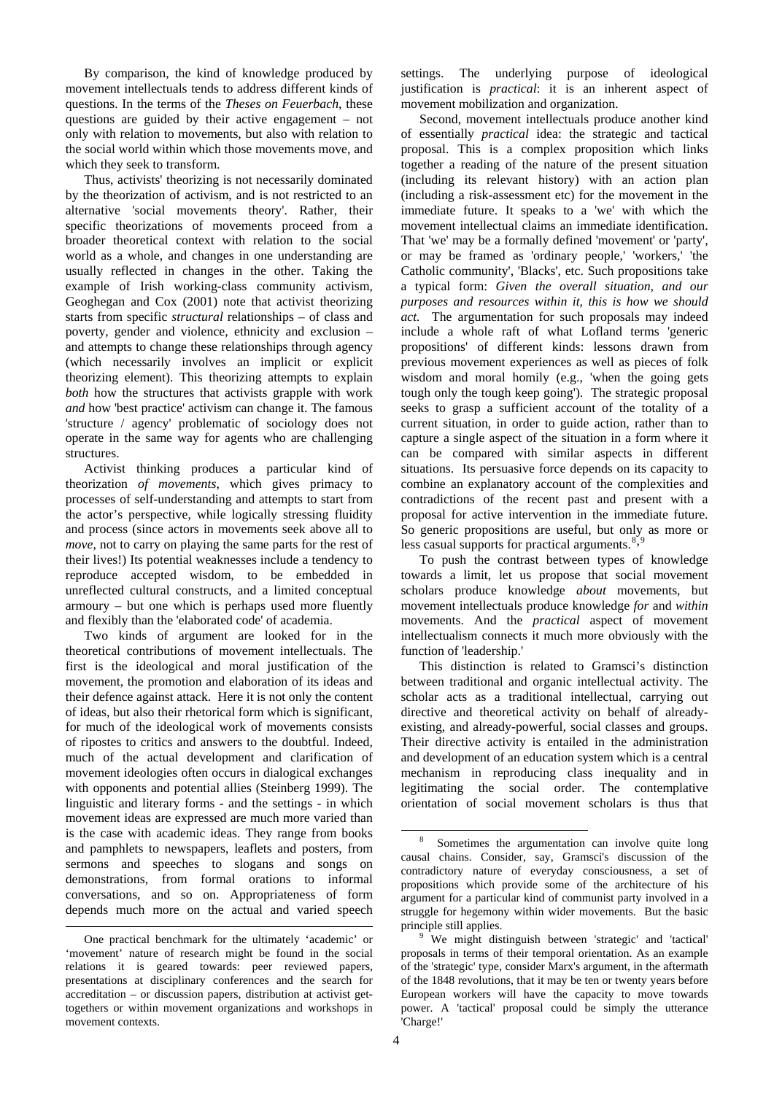By comparison, the kind of knowledge produced by movement intellectuals tends to address different kinds of questions. In the terms of the *Theses on Feuerbach*, these questions are guided by their active engagement – not only with relation to movements, but also with relation to the social world within which those movements move, and which they seek to transform.

Thus, activists' theorizing is not necessarily dominated by the theorization of activism, and is not restricted to an alternative 'social movements theory'. Rather, their specific theorizations of movements proceed from a broader theoretical context with relation to the social world as a whole, and changes in one understanding are usually reflected in changes in the other. Taking the example of Irish working-class community activism, Geoghegan and Cox (2001) note that activist theorizing starts from specific *structural* relationships – of class and poverty, gender and violence, ethnicity and exclusion – and attempts to change these relationships through agency (which necessarily involves an implicit or explicit theorizing element). This theorizing attempts to explain *both* how the structures that activists grapple with work *and* how 'best practice' activism can change it. The famous 'structure / agency' problematic of sociology does not operate in the same way for agents who are challenging structures.

Activist thinking produces a particular kind of theorization *of movements*, which gives primacy to processes of self-understanding and attempts to start from the actor's perspective, while logically stressing fluidity and process (since actors in movements seek above all to *move*, not to carry on playing the same parts for the rest of their lives!) Its potential weaknesses include a tendency to reproduce accepted wisdom, to be embedded in unreflected cultural constructs, and a limited conceptual armoury – but one which is perhaps used more fluently and flexibly than the 'elaborated code' of academia.

Two kinds of argument are looked for in the theoretical contributions of movement intellectuals. The first is the ideological and moral justification of the movement, the promotion and elaboration of its ideas and their defence against attack. Here it is not only the content of ideas, but also their rhetorical form which is significant, for much of the ideological work of movements consists of ripostes to critics and answers to the doubtful. Indeed, much of the actual development and clarification of movement ideologies often occurs in dialogical exchanges with opponents and potential allies (Steinberg 1999). The linguistic and literary forms - and the settings - in which movement ideas are expressed are much more varied than is the case with academic ideas. They range from books and pamphlets to newspapers, leaflets and posters, from sermons and speeches to slogans and songs on demonstrations, from formal orations to informal conversations, and so on. Appropriateness of form depends much more on the actual and varied speech

<span id="page-3-0"></span> $\overline{a}$ 

settings. The underlying purpose of ideological justification is *practical*: it is an inherent aspect of movement mobilization and organization.

Second, movement intellectuals produce another kind of essentially *practical* idea: the strategic and tactical proposal. This is a complex proposition which links together a reading of the nature of the present situation (including its relevant history) with an action plan (including a risk-assessment etc) for the movement in the immediate future. It speaks to a 'we' with which the movement intellectual claims an immediate identification. That 'we' may be a formally defined 'movement' or 'party', or may be framed as 'ordinary people,' 'workers,' 'the Catholic community', 'Blacks', etc. Such propositions take a typical form: *Given the overall situation, and our purposes and resources within it, this is how we should act.* The argumentation for such proposals may indeed include a whole raft of what Lofland terms 'generic propositions' of different kinds: lessons drawn from previous movement experiences as well as pieces of folk wisdom and moral homily (e.g., 'when the going gets tough only the tough keep going'). The strategic proposal seeks to grasp a sufficient account of the totality of a current situation, in order to guide action, rather than to capture a single aspect of the situation in a form where it can be compared with similar aspects in different situations. Its persuasive force depends on its capacity to combine an explanatory account of the complexities and contradictions of the recent past and present with a proposal for active intervention in the immediate future. So generic propositions are useful, but only as more or less casual supports for practical arguments. $8,9$  $8,9$  $8,9$ 

To push the contrast between types of knowledge towards a limit, let us propose that social movement scholars produce knowledge *about* movements, but movement intellectuals produce knowledge *for* and *within* movements. And the *practical* aspect of movement intellectualism connects it much more obviously with the function of 'leadership.'

This distinction is related to Gramsci's distinction between traditional and organic intellectual activity. The scholar acts as a traditional intellectual, carrying out directive and theoretical activity on behalf of alreadyexisting, and already-powerful, social classes and groups. Their directive activity is entailed in the administration and development of an education system which is a central mechanism in reproducing class inequality and in legitimating the social order. The contemplative orientation of social movement scholars is thus that

-

<span id="page-3-1"></span>One practical benchmark for the ultimately 'academic' or 'movement' nature of research might be found in the social relations it is geared towards: peer reviewed papers, presentations at disciplinary conferences and the search for accreditation – or discussion papers, distribution at activist gettogethers or within movement organizations and workshops in movement contexts.

<sup>8</sup> Sometimes the argumentation can involve quite long causal chains. Consider, say, Gramsci's discussion of the contradictory nature of everyday consciousness, a set of propositions which provide some of the architecture of his argument for a particular kind of communist party involved in a struggle for hegemony within wider movements. But the basic principle still applies. 9

<sup>&</sup>lt;sup>9</sup> We might distinguish between 'strategic' and 'tactical' proposals in terms of their temporal orientation. As an example of the 'strategic' type, consider Marx's argument, in the aftermath of the 1848 revolutions, that it may be ten or twenty years before European workers will have the capacity to move towards power. A 'tactical' proposal could be simply the utterance 'Charge!'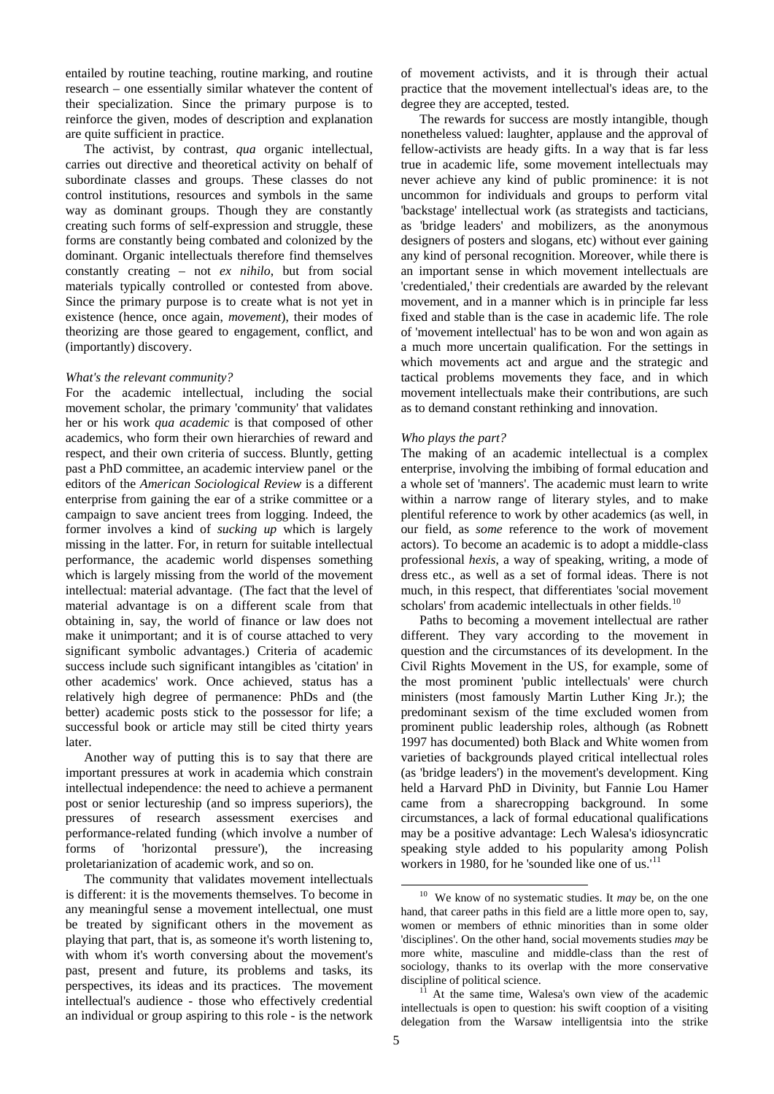entailed by routine teaching, routine marking, and routine research – one essentially similar whatever the content of their specialization. Since the primary purpose is to reinforce the given, modes of description and explanation are quite sufficient in practice.

The activist, by contrast, *qua* organic intellectual, carries out directive and theoretical activity on behalf of subordinate classes and groups. These classes do not control institutions, resources and symbols in the same way as dominant groups. Though they are constantly creating such forms of self-expression and struggle, these forms are constantly being combated and colonized by the dominant. Organic intellectuals therefore find themselves constantly creating – not *ex nihilo*, but from social materials typically controlled or contested from above. Since the primary purpose is to create what is not yet in existence (hence, once again, *movement*), their modes of theorizing are those geared to engagement, conflict, and (importantly) discovery.

#### *What's the relevant community?*

For the academic intellectual, including the social movement scholar, the primary 'community' that validates her or his work *qua academic* is that composed of other academics, who form their own hierarchies of reward and respect, and their own criteria of success. Bluntly, getting past a PhD committee, an academic interview panel or the editors of the *American Sociological Review* is a different enterprise from gaining the ear of a strike committee or a campaign to save ancient trees from logging. Indeed, the former involves a kind of *sucking up* which is largely missing in the latter. For, in return for suitable intellectual performance, the academic world dispenses something which is largely missing from the world of the movement intellectual: material advantage. (The fact that the level of material advantage is on a different scale from that obtaining in, say, the world of finance or law does not make it unimportant; and it is of course attached to very significant symbolic advantages.) Criteria of academic success include such significant intangibles as 'citation' in other academics' work. Once achieved, status has a relatively high degree of permanence: PhDs and (the better) academic posts stick to the possessor for life; a successful book or article may still be cited thirty years later.

Another way of putting this is to say that there are important pressures at work in academia which constrain intellectual independence: the need to achieve a permanent post or senior lectureship (and so impress superiors), the pressures of research assessment exercises and performance-related funding (which involve a number of forms of 'horizontal pressure'), the increasing proletarianization of academic work, and so on.

<span id="page-4-1"></span><span id="page-4-0"></span>The community that validates movement intellectuals is different: it is the movements themselves. To become in any meaningful sense a movement intellectual, one must be treated by significant others in the movement as playing that part, that is, as someone it's worth listening to, with whom it's worth conversing about the movement's past, present and future, its problems and tasks, its perspectives, its ideas and its practices. The movement intellectual's audience - those who effectively credential an individual or group aspiring to this role - is the network

of movement activists, and it is through their actual practice that the movement intellectual's ideas are, to the degree they are accepted, tested.

The rewards for success are mostly intangible, though nonetheless valued: laughter, applause and the approval of fellow-activists are heady gifts. In a way that is far less true in academic life, some movement intellectuals may never achieve any kind of public prominence: it is not uncommon for individuals and groups to perform vital 'backstage' intellectual work (as strategists and tacticians, as 'bridge leaders' and mobilizers, as the anonymous designers of posters and slogans, etc) without ever gaining any kind of personal recognition. Moreover, while there is an important sense in which movement intellectuals are 'credentialed,' their credentials are awarded by the relevant movement, and in a manner which is in principle far less fixed and stable than is the case in academic life. The role of 'movement intellectual' has to be won and won again as a much more uncertain qualification. For the settings in which movements act and argue and the strategic and tactical problems movements they face, and in which movement intellectuals make their contributions, are such as to demand constant rethinking and innovation.

### *Who plays the part?*

The making of an academic intellectual is a complex enterprise, involving the imbibing of formal education and a whole set of 'manners'. The academic must learn to write within a narrow range of literary styles, and to make plentiful reference to work by other academics (as well, in our field, as *some* reference to the work of movement actors). To become an academic is to adopt a middle-class professional *hexis*, a way of speaking, writing, a mode of dress etc., as well as a set of formal ideas. There is not much, in this respect, that differentiates 'social movement scholars' from academic intellectuals in other fields.<sup>[10](#page-4-0)</sup>

Paths to becoming a movement intellectual are rather different. They vary according to the movement in question and the circumstances of its development. In the Civil Rights Movement in the US, for example, some of the most prominent 'public intellectuals' were church ministers (most famously Martin Luther King Jr.); the predominant sexism of the time excluded women from prominent public leadership roles, although (as Robnett 1997 has documented) both Black and White women from varieties of backgrounds played critical intellectual roles (as 'bridge leaders') in the movement's development. King held a Harvard PhD in Divinity, but Fannie Lou Hamer came from a sharecropping background. In some circumstances, a lack of formal educational qualifications may be a positive advantage: Lech Walesa's idiosyncratic speaking style added to his popularity among Polish workers in 1980, for he 'sounded like one of us. $11$ 

 <sup>10</sup> We know of no systematic studies. It *may* be, on the one hand, that career paths in this field are a little more open to, say, women or members of ethnic minorities than in some older 'disciplines'. On the other hand, social movements studies *may* be more white, masculine and middle-class than the rest of sociology, thanks to its overlap with the more conservative

discipline of political science.<br><sup>11</sup> At the same time, Walesa's own view of the academic intellectuals is open to question: his swift cooption of a visiting delegation from the Warsaw intelligentsia into the strike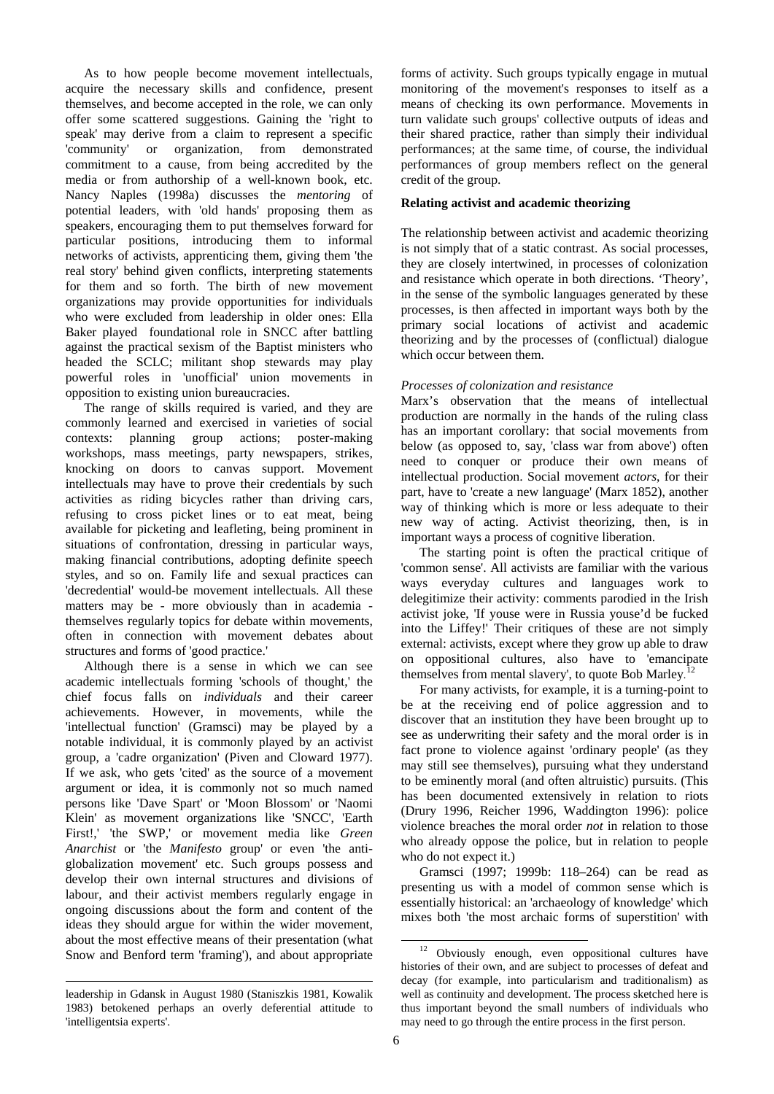As to how people become movement intellectuals, acquire the necessary skills and confidence, present themselves, and become accepted in the role, we can only offer some scattered suggestions. Gaining the 'right to speak' may derive from a claim to represent a specific 'community' or organization, from demonstrated commitment to a cause, from being accredited by the media or from authorship of a well-known book, etc. Nancy Naples (1998a) discusses the *mentoring* of potential leaders, with 'old hands' proposing them as speakers, encouraging them to put themselves forward for particular positions, introducing them to informal networks of activists, apprenticing them, giving them 'the real story' behind given conflicts, interpreting statements for them and so forth. The birth of new movement organizations may provide opportunities for individuals who were excluded from leadership in older ones: Ella Baker played foundational role in SNCC after battling against the practical sexism of the Baptist ministers who headed the SCLC; militant shop stewards may play powerful roles in 'unofficial' union movements in opposition to existing union bureaucracies.

The range of skills required is varied, and they are commonly learned and exercised in varieties of social contexts: planning group actions; poster-making workshops, mass meetings, party newspapers, strikes, knocking on doors to canvas support. Movement intellectuals may have to prove their credentials by such activities as riding bicycles rather than driving cars, refusing to cross picket lines or to eat meat, being available for picketing and leafleting, being prominent in situations of confrontation, dressing in particular ways, making financial contributions, adopting definite speech styles, and so on. Family life and sexual practices can 'decredential' would-be movement intellectuals. All these matters may be - more obviously than in academia themselves regularly topics for debate within movements, often in connection with movement debates about structures and forms of 'good practice.'

Although there is a sense in which we can see academic intellectuals forming 'schools of thought,' the chief focus falls on *individuals* and their career achievements. However, in movements, while the 'intellectual function' (Gramsci) may be played by a notable individual, it is commonly played by an activist group, a 'cadre organization' (Piven and Cloward 1977). If we ask, who gets 'cited' as the source of a movement argument or idea, it is commonly not so much named persons like 'Dave Spart' or 'Moon Blossom' or 'Naomi Klein' as movement organizations like 'SNCC', 'Earth First!,' 'the SWP,' or movement media like *Green Anarchist* or 'the *Manifesto* group' or even 'the antiglobalization movement' etc. Such groups possess and develop their own internal structures and divisions of labour, and their activist members regularly engage in ongoing discussions about the form and content of the ideas they should argue for within the wider movement, about the most effective means of their presentation (what Snow and Benford term 'framing'), and about appropriate

forms of activity. Such groups typically engage in mutual monitoring of the movement's responses to itself as a means of checking its own performance. Movements in turn validate such groups' collective outputs of ideas and their shared practice, rather than simply their individual performances; at the same time, of course, the individual performances of group members reflect on the general credit of the group.

# **Relating activist and academic theorizing**

The relationship between activist and academic theorizing is not simply that of a static contrast. As social processes, they are closely intertwined, in processes of colonization and resistance which operate in both directions. 'Theory', in the sense of the symbolic languages generated by these processes, is then affected in important ways both by the primary social locations of activist and academic theorizing and by the processes of (conflictual) dialogue which occur between them.

# *Processes of colonization and resistance*

Marx's observation that the means of intellectual production are normally in the hands of the ruling class has an important corollary: that social movements from below (as opposed to, say, 'class war from above') often need to conquer or produce their own means of intellectual production. Social movement *actors*, for their part, have to 'create a new language' (Marx 1852), another way of thinking which is more or less adequate to their new way of acting. Activist theorizing, then, is in important ways a process of cognitive liberation.

The starting point is often the practical critique of 'common sense'. All activists are familiar with the various ways everyday cultures and languages work to delegitimize their activity: comments parodied in the Irish activist joke, 'If youse were in Russia youse'd be fucked into the Liffey!' Their critiques of these are not simply external: activists, except where they grow up able to draw on oppositional cultures, also have to 'emancipate themselves from mental slavery', to quote Bob Marley.<sup>[12](#page-5-0)</sup>

For many activists, for example, it is a turning-point to be at the receiving end of police aggression and to discover that an institution they have been brought up to see as underwriting their safety and the moral order is in fact prone to violence against 'ordinary people' (as they may still see themselves), pursuing what they understand to be eminently moral (and often altruistic) pursuits. (This has been documented extensively in relation to riots (Drury 1996, Reicher 1996, Waddington 1996): police violence breaches the moral order *not* in relation to those who already oppose the police, but in relation to people who do not expect it.)

Gramsci (1997; 1999b: 118–264) can be read as presenting us with a model of common sense which is essentially historical: an 'archaeology of knowledge' which mixes both 'the most archaic forms of superstition' with

-

<span id="page-5-0"></span> $\overline{a}$ leadership in Gdansk in August 1980 (Staniszkis 1981, Kowalik 1983) betokened perhaps an overly deferential attitude to 'intelligentsia experts'.

<sup>12</sup> Obviously enough, even oppositional cultures have histories of their own, and are subject to processes of defeat and decay (for example, into particularism and traditionalism) as well as continuity and development. The process sketched here is thus important beyond the small numbers of individuals who may need to go through the entire process in the first person.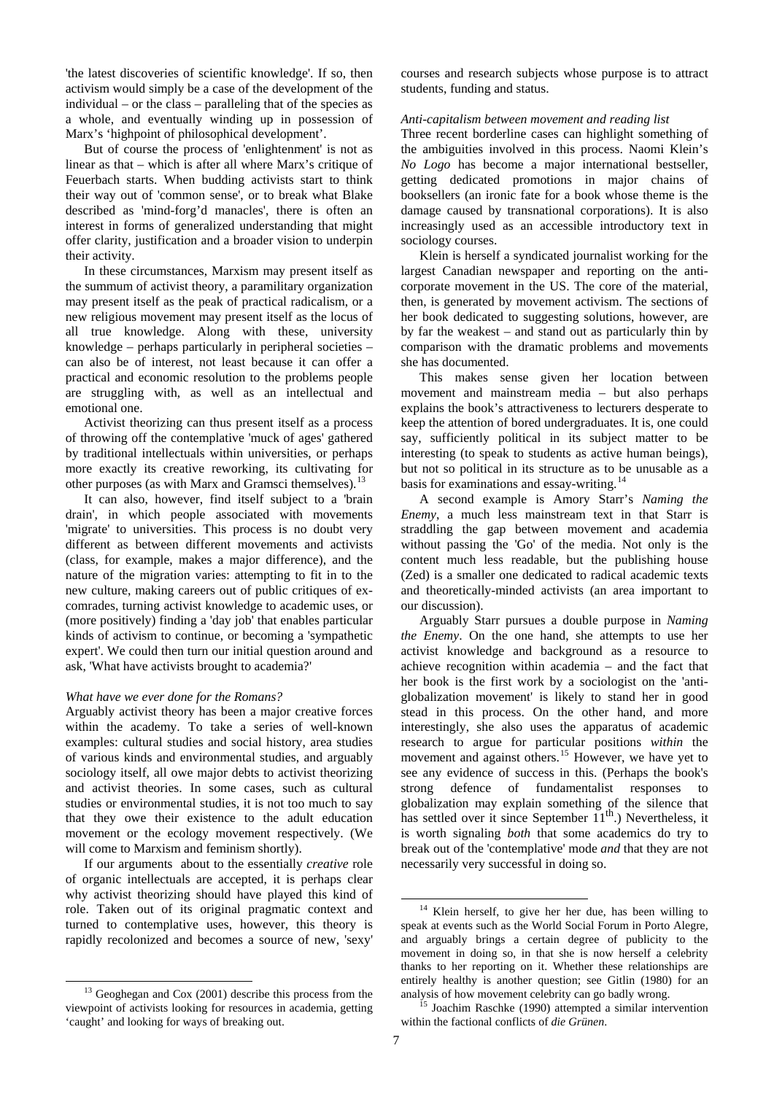'the latest discoveries of scientific knowledge'. If so, then activism would simply be a case of the development of the individual – or the class – paralleling that of the species as a whole, and eventually winding up in possession of Marx's 'highpoint of philosophical development'.

But of course the process of 'enlightenment' is not as linear as that – which is after all where Marx's critique of Feuerbach starts. When budding activists start to think their way out of 'common sense', or to break what Blake described as 'mind-forg'd manacles', there is often an interest in forms of generalized understanding that might offer clarity, justification and a broader vision to underpin their activity.

In these circumstances, Marxism may present itself as the summum of activist theory, a paramilitary organization may present itself as the peak of practical radicalism, or a new religious movement may present itself as the locus of all true knowledge. Along with these, university knowledge – perhaps particularly in peripheral societies – can also be of interest, not least because it can offer a practical and economic resolution to the problems people are struggling with, as well as an intellectual and emotional one.

Activist theorizing can thus present itself as a process of throwing off the contemplative 'muck of ages' gathered by traditional intellectuals within universities, or perhaps more exactly its creative reworking, its cultivating for other purposes (as with Marx and Gramsci themselves).<sup>1</sup>

It can also, however, find itself subject to a 'brain drain', in which people associated with movements 'migrate' to universities. This process is no doubt very different as between different movements and activists (class, for example, makes a major difference), and the nature of the migration varies: attempting to fit in to the new culture, making careers out of public critiques of excomrades, turning activist knowledge to academic uses, or (more positively) finding a 'day job' that enables particular kinds of activism to continue, or becoming a 'sympathetic expert'. We could then turn our initial question around and ask, 'What have activists brought to academia?'

### *What have we ever done for the Romans?*

Arguably activist theory has been a major creative forces within the academy. To take a series of well-known examples: cultural studies and social history, area studies of various kinds and environmental studies, and arguably sociology itself, all owe major debts to activist theorizing and activist theories. In some cases, such as cultural studies or environmental studies, it is not too much to say that they owe their existence to the adult education movement or the ecology movement respectively. (We will come to Marxism and feminism shortly).

<span id="page-6-1"></span>If our arguments about to the essentially *creative* role of organic intellectuals are accepted, it is perhaps clear why activist theorizing should have played this kind of role. Taken out of its original pragmatic context and turned to contemplative uses, however, this theory is rapidly recolonized and becomes a source of new, 'sexy'

 $\overline{a}$ 

courses and research subjects whose purpose is to attract students, funding and status.

#### *Anti-capitalism between movement and reading list*

Three recent borderline cases can highlight something of the ambiguities involved in this process. Naomi Klein's *No Logo* has become a major international bestseller, getting dedicated promotions in major chains of booksellers (an ironic fate for a book whose theme is the damage caused by transnational corporations). It is also increasingly used as an accessible introductory text in sociology courses.

Klein is herself a syndicated journalist working for the largest Canadian newspaper and reporting on the anticorporate movement in the US. The core of the material, then, is generated by movement activism. The sections of her book dedicated to suggesting solutions, however, are by far the weakest – and stand out as particularly thin by comparison with the dramatic problems and movements she has documented.

This makes sense given her location between movement and mainstream media – but also perhaps explains the book's attractiveness to lecturers desperate to keep the attention of bored undergraduates. It is, one could say, sufficiently political in its subject matter to be interesting (to speak to students as active human beings), but not so political in its structure as to be unusable as a basis for examinations and essay-writing.<sup>1</sup>

A second example is Amory Starr's *Naming the Enemy*, a much less mainstream text in that Starr is straddling the gap between movement and academia without passing the 'Go' of the media. Not only is the content much less readable, but the publishing house (Zed) is a smaller one dedicated to radical academic texts and theoretically-minded activists (an area important to our discussion).

Arguably Starr pursues a double purpose in *Naming the Enemy*. On the one hand, she attempts to use her activist knowledge and background as a resource to achieve recognition within academia – and the fact that her book is the first work by a sociologist on the 'antiglobalization movement' is likely to stand her in good stead in this process. On the other hand, and more interestingly, she also uses the apparatus of academic research to argue for particular positions *within* the movement and against others.<sup>[15](#page-6-2)</sup> However, we have yet to see any evidence of success in this. (Perhaps the book's strong defence of fundamentalist responses to globalization may explain something of the silence that has settled over it since September  $11<sup>th</sup>$ .) Nevertheless, it is worth signaling *both* that some academics do try to break out of the 'contemplative' mode *and* that they are not necessarily very successful in doing so.

1

<span id="page-6-2"></span><span id="page-6-0"></span><sup>&</sup>lt;sup>13</sup> Geoghegan and Cox (2001) describe this process from the viewpoint of activists looking for resources in academia, getting 'caught' and looking for ways of breaking out.

<sup>&</sup>lt;sup>14</sup> Klein herself, to give her her due, has been willing to speak at events such as the World Social Forum in Porto Alegre, and arguably brings a certain degree of publicity to the movement in doing so, in that she is now herself a celebrity thanks to her reporting on it. Whether these relationships are entirely healthy is another question; see Gitlin (1980) for an analysis of how movement celebrity can go badly wrong. 15 Joachim Raschke (1990) attempted a similar intervention

within the factional conflicts of *die Grünen*.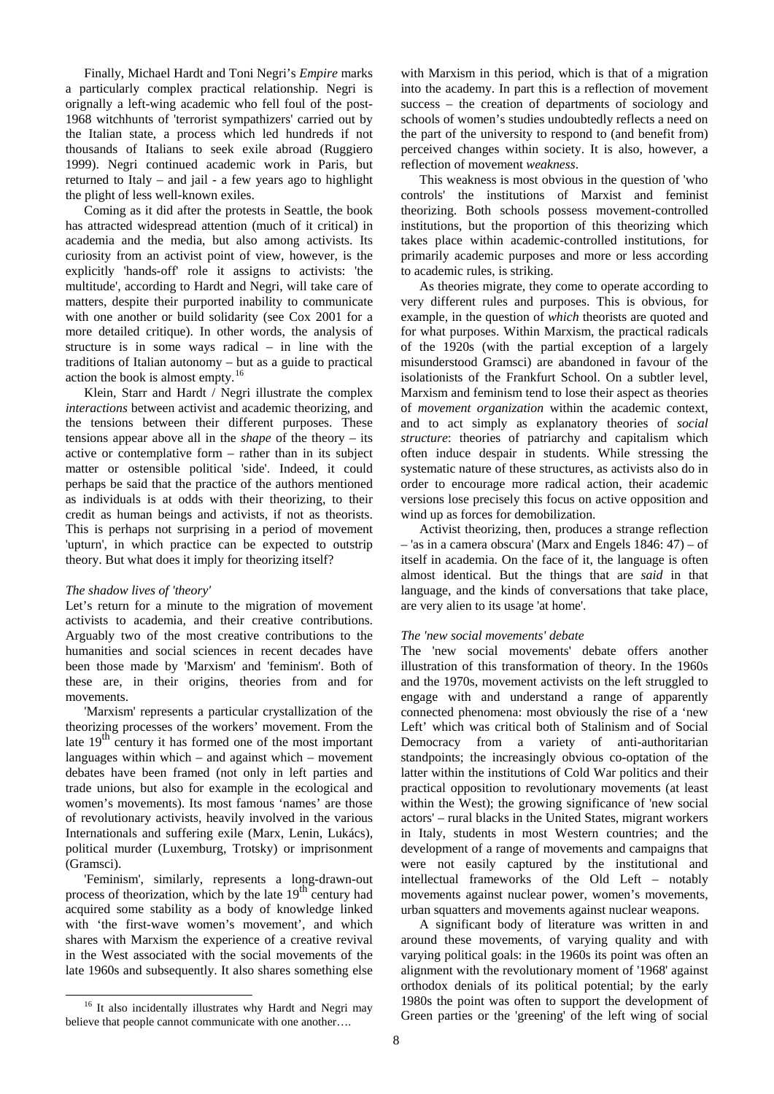Finally, Michael Hardt and Toni Negri's *Empire* marks a particularly complex practical relationship. Negri is orignally a left-wing academic who fell foul of the post-1968 witchhunts of 'terrorist sympathizers' carried out by the Italian state, a process which led hundreds if not thousands of Italians to seek exile abroad (Ruggiero 1999). Negri continued academic work in Paris, but returned to Italy – and jail - a few years ago to highlight the plight of less well-known exiles.

Coming as it did after the protests in Seattle, the book has attracted widespread attention (much of it critical) in academia and the media, but also among activists. Its curiosity from an activist point of view, however, is the explicitly 'hands-off' role it assigns to activists: 'the multitude', according to Hardt and Negri, will take care of matters, despite their purported inability to communicate with one another or build solidarity (see Cox 2001 for a more detailed critique). In other words, the analysis of structure is in some ways radical – in line with the traditions of Italian autonomy – but as a guide to practical action the book is almost empty.[16](#page-7-0)

Klein, Starr and Hardt / Negri illustrate the complex *interactions* between activist and academic theorizing, and the tensions between their different purposes. These tensions appear above all in the *shape* of the theory – its active or contemplative form – rather than in its subject matter or ostensible political 'side'. Indeed, it could perhaps be said that the practice of the authors mentioned as individuals is at odds with their theorizing, to their credit as human beings and activists, if not as theorists. This is perhaps not surprising in a period of movement 'upturn', in which practice can be expected to outstrip theory. But what does it imply for theorizing itself?

# *The shadow lives of 'theory'*

Let's return for a minute to the migration of movement activists to academia, and their creative contributions. Arguably two of the most creative contributions to the humanities and social sciences in recent decades have been those made by 'Marxism' and 'feminism'. Both of these are, in their origins, theories from and for movements.

'Marxism' represents a particular crystallization of the theorizing processes of the workers' movement. From the late  $19<sup>th</sup>$  century it has formed one of the most important languages within which – and against which – movement debates have been framed (not only in left parties and trade unions, but also for example in the ecological and women's movements). Its most famous 'names' are those of revolutionary activists, heavily involved in the various Internationals and suffering exile (Marx, Lenin, Lukács), political murder (Luxemburg, Trotsky) or imprisonment (Gramsci).

'Feminism', similarly, represents a long-drawn-out process of theorization, which by the late  $19<sup>th</sup>$  century had acquired some stability as a body of knowledge linked with 'the first-wave women's movement', and which shares with Marxism the experience of a creative revival in the West associated with the social movements of the late 1960s and subsequently. It also shares something else with Marxism in this period, which is that of a migration into the academy. In part this is a reflection of movement success – the creation of departments of sociology and schools of women's studies undoubtedly reflects a need on the part of the university to respond to (and benefit from) perceived changes within society. It is also, however, a reflection of movement *weakness*.

This weakness is most obvious in the question of 'who controls' the institutions of Marxist and feminist theorizing. Both schools possess movement-controlled institutions, but the proportion of this theorizing which takes place within academic-controlled institutions, for primarily academic purposes and more or less according to academic rules, is striking.

As theories migrate, they come to operate according to very different rules and purposes. This is obvious, for example, in the question of *which* theorists are quoted and for what purposes. Within Marxism, the practical radicals of the 1920s (with the partial exception of a largely misunderstood Gramsci) are abandoned in favour of the isolationists of the Frankfurt School. On a subtler level, Marxism and feminism tend to lose their aspect as theories of *movement organization* within the academic context, and to act simply as explanatory theories of *social structure*: theories of patriarchy and capitalism which often induce despair in students. While stressing the systematic nature of these structures, as activists also do in order to encourage more radical action, their academic versions lose precisely this focus on active opposition and wind up as forces for demobilization.

Activist theorizing, then, produces a strange reflection – 'as in a camera obscura' (Marx and Engels 1846: 47) – of itself in academia. On the face of it, the language is often almost identical. But the things that are *said* in that language, and the kinds of conversations that take place, are very alien to its usage 'at home'.

# *The 'new social movements' debate*

The 'new social movements' debate offers another illustration of this transformation of theory. In the 1960s and the 1970s, movement activists on the left struggled to engage with and understand a range of apparently connected phenomena: most obviously the rise of a 'new Left' which was critical both of Stalinism and of Social Democracy from a variety of anti-authoritarian standpoints; the increasingly obvious co-optation of the latter within the institutions of Cold War politics and their practical opposition to revolutionary movements (at least within the West); the growing significance of 'new social actors' – rural blacks in the United States, migrant workers in Italy, students in most Western countries; and the development of a range of movements and campaigns that were not easily captured by the institutional and intellectual frameworks of the Old Left – notably movements against nuclear power, women's movements, urban squatters and movements against nuclear weapons.

A significant body of literature was written in and around these movements, of varying quality and with varying political goals: in the 1960s its point was often an alignment with the revolutionary moment of '1968' against orthodox denials of its political potential; by the early 1980s the point was often to support the development of Green parties or the 'greening' of the left wing of social

<span id="page-7-0"></span><sup>&</sup>lt;sup>16</sup> It also incidentally illustrates why Hardt and Negri may believe that people cannot communicate with one another….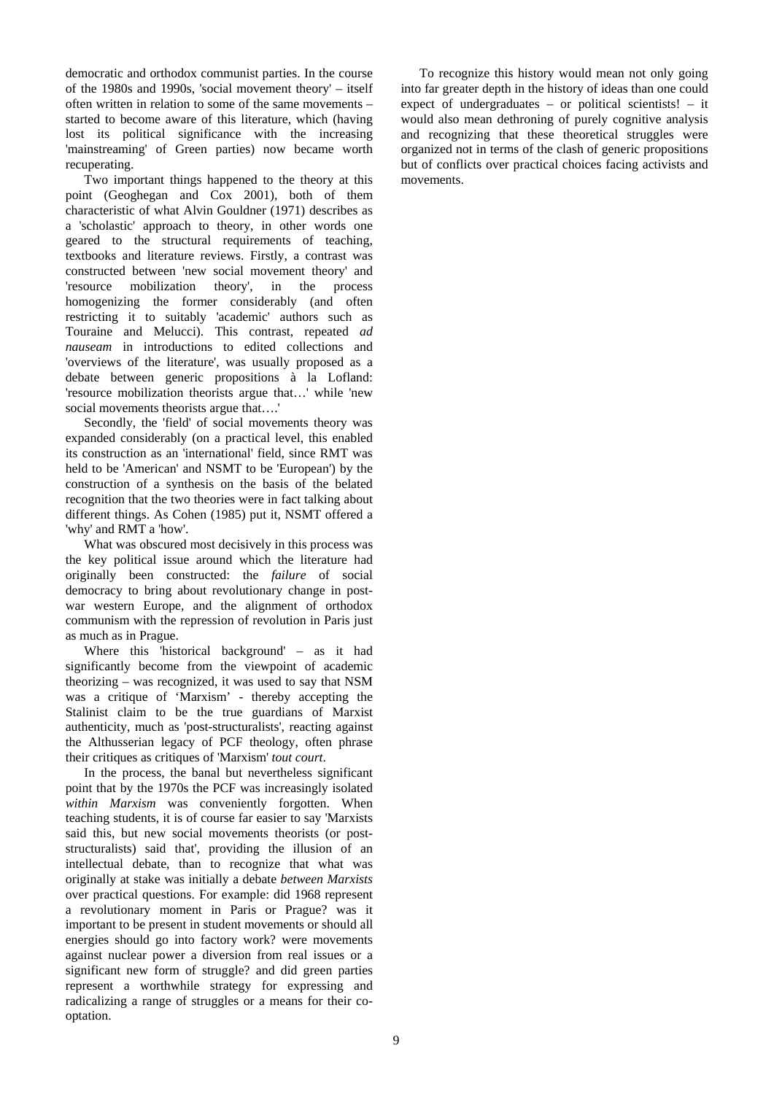democratic and orthodox communist parties. In the course of the 1980s and 1990s, 'social movement theory' – itself often written in relation to some of the same movements – started to become aware of this literature, which (having lost its political significance with the increasing 'mainstreaming' of Green parties) now became worth recuperating.

Two important things happened to the theory at this point (Geoghegan and Cox 2001), both of them characteristic of what Alvin Gouldner (1971) describes as a 'scholastic' approach to theory, in other words one geared to the structural requirements of teaching, textbooks and literature reviews. Firstly, a contrast was constructed between 'new social movement theory' and 'resource mobilization theory', in the process homogenizing the former considerably (and often restricting it to suitably 'academic' authors such as Touraine and Melucci). This contrast, repeated *ad nauseam* in introductions to edited collections and 'overviews of the literature', was usually proposed as a debate between generic propositions à la Lofland: 'resource mobilization theorists argue that…' while 'new social movements theorists argue that….'

Secondly, the 'field' of social movements theory was expanded considerably (on a practical level, this enabled its construction as an 'international' field, since RMT was held to be 'American' and NSMT to be 'European') by the construction of a synthesis on the basis of the belated recognition that the two theories were in fact talking about different things. As Cohen (1985) put it, NSMT offered a 'why' and RMT a 'how'.

What was obscured most decisively in this process was the key political issue around which the literature had originally been constructed: the *failure* of social democracy to bring about revolutionary change in postwar western Europe, and the alignment of orthodox communism with the repression of revolution in Paris just as much as in Prague.

Where this 'historical background' – as it had significantly become from the viewpoint of academic theorizing – was recognized, it was used to say that NSM was a critique of 'Marxism' - thereby accepting the Stalinist claim to be the true guardians of Marxist authenticity, much as 'post-structuralists', reacting against the Althusserian legacy of PCF theology, often phrase their critiques as critiques of 'Marxism' *tout court*.

In the process, the banal but nevertheless significant point that by the 1970s the PCF was increasingly isolated within Marxism was conveniently forgotten. When teaching students, it is of course far easier to say 'Marxists said this, but new social movements theorists (or poststructuralists) said that', providing the illusion of an intellectual debate, than to recognize that what was originally at stake was initially a debate *between Marxists* over practical questions. For example: did 1968 represent a revolutionary moment in Paris or Prague? was it important to be present in student movements or should all energies should go into factory work? were movements against nuclear power a diversion from real issues or a significant new form of struggle? and did green parties represent a worthwhile strategy for expressing and radicalizing a range of struggles or a means for their cooptation.

To recognize this history would mean not only going into far greater depth in the history of ideas than one could expect of undergraduates – or political scientists! – it would also mean dethroning of purely cognitive analysis and recognizing that these theoretical struggles were organized not in terms of the clash of generic propositions but of conflicts over practical choices facing activists and movements.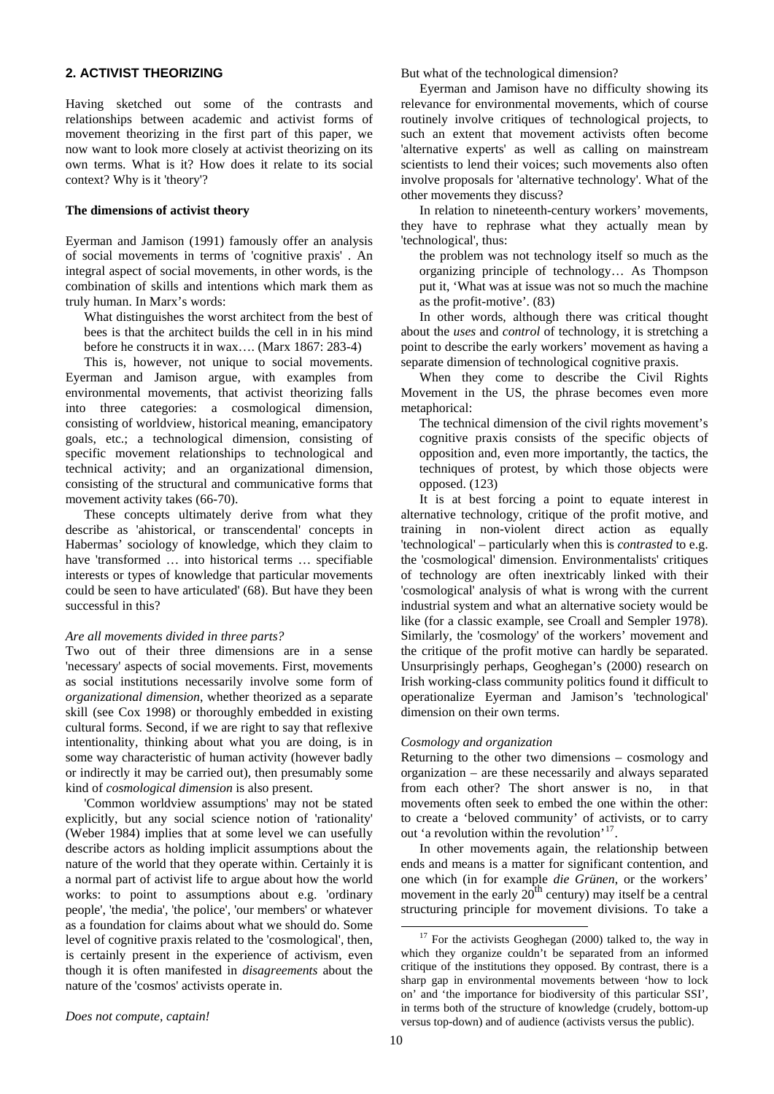## **2. ACTIVIST THEORIZING**

Having sketched out some of the contrasts and relationships between academic and activist forms of movement theorizing in the first part of this paper, we now want to look more closely at activist theorizing on its own terms. What is it? How does it relate to its social context? Why is it 'theory'?

#### **The dimensions of activist theory**

Eyerman and Jamison (1991) famously offer an analysis of social movements in terms of 'cognitive praxis' . An integral aspect of social movements, in other words, is the combination of skills and intentions which mark them as truly human. In Marx's words:

What distinguishes the worst architect from the best of bees is that the architect builds the cell in in his mind before he constructs it in wax…. (Marx 1867: 283-4)

This is, however, not unique to social movements. Eyerman and Jamison argue, with examples from environmental movements, that activist theorizing falls into three categories: a cosmological dimension, consisting of worldview, historical meaning, emancipatory goals, etc.; a technological dimension, consisting of specific movement relationships to technological and technical activity; and an organizational dimension, consisting of the structural and communicative forms that movement activity takes (66-70).

These concepts ultimately derive from what they describe as 'ahistorical, or transcendental' concepts in Habermas' sociology of knowledge, which they claim to have 'transformed ... into historical terms ... specifiable interests or types of knowledge that particular movements could be seen to have articulated' (68). But have they been successful in this?

### *Are all movements divided in three parts?*

Two out of their three dimensions are in a sense 'necessary' aspects of social movements. First, movements as social institutions necessarily involve some form of *organizational dimension*, whether theorized as a separate skill (see Cox 1998) or thoroughly embedded in existing cultural forms. Second, if we are right to say that reflexive intentionality, thinking about what you are doing, is in some way characteristic of human activity (however badly or indirectly it may be carried out), then presumably some kind of *cosmological dimension* is also present.

'Common worldview assumptions' may not be stated explicitly, but any social science notion of 'rationality' (Weber 1984) implies that at some level we can usefully describe actors as holding implicit assumptions about the nature of the world that they operate within. Certainly it is a normal part of activist life to argue about how the world works: to point to assumptions about e.g. 'ordinary people', 'the media', 'the police', 'our members' or whatever as a foundation for claims about what we should do. Some level of cognitive praxis related to the 'cosmological', then, is certainly present in the experience of activism, even though it is often manifested in *disagreements* about the nature of the 'cosmos' activists operate in.

But what of the technological dimension?

Eyerman and Jamison have no difficulty showing its relevance for environmental movements, which of course routinely involve critiques of technological projects, to such an extent that movement activists often become 'alternative experts' as well as calling on mainstream scientists to lend their voices; such movements also often involve proposals for 'alternative technology'. What of the other movements they discuss?

In relation to nineteenth-century workers' movements, they have to rephrase what they actually mean by 'technological', thus:

the problem was not technology itself so much as the organizing principle of technology… As Thompson put it, 'What was at issue was not so much the machine as the profit-motive'. (83)

In other words, although there was critical thought about the *uses* and *control* of technology, it is stretching a point to describe the early workers' movement as having a separate dimension of technological cognitive praxis.

When they come to describe the Civil Rights Movement in the US, the phrase becomes even more metaphorical:

The technical dimension of the civil rights movement's cognitive praxis consists of the specific objects of opposition and, even more importantly, the tactics, the techniques of protest, by which those objects were opposed. (123)

It is at best forcing a point to equate interest in alternative technology, critique of the profit motive, and training in non-violent direct action as equally 'technological' – particularly when this is *contrasted* to e.g. the 'cosmological' dimension. Environmentalists' critiques of technology are often inextricably linked with their 'cosmological' analysis of what is wrong with the current industrial system and what an alternative society would be like (for a classic example, see Croall and Sempler 1978). Similarly, the 'cosmology' of the workers' movement and the critique of the profit motive can hardly be separated. Unsurprisingly perhaps, Geoghegan's (2000) research on Irish working-class community politics found it difficult to operationalize Eyerman and Jamison's 'technological' dimension on their own terms.

#### *Cosmology and organization*

Returning to the other two dimensions – cosmology and organization – are these necessarily and always separated from each other? The short answer is no, in that movements often seek to embed the one within the other: to create a 'beloved community' of activists, or to carry out 'a revolution within the revolution'<sup>[17](#page-9-0)</sup>.

In other movements again, the relationship between ends and means is a matter for significant contention, and one which (in for example *die Grünen*, or the workers' movement in the early  $20<sup>th</sup>$  century) may itself be a central structuring principle for movement divisions. To take a

<span id="page-9-0"></span>*Does not compute, captain!* 

 $17$  For the activists Geoghegan (2000) talked to, the way in which they organize couldn't be separated from an informed critique of the institutions they opposed. By contrast, there is a sharp gap in environmental movements between 'how to lock on' and 'the importance for biodiversity of this particular SSI', in terms both of the structure of knowledge (crudely, bottom-up versus top-down) and of audience (activists versus the public).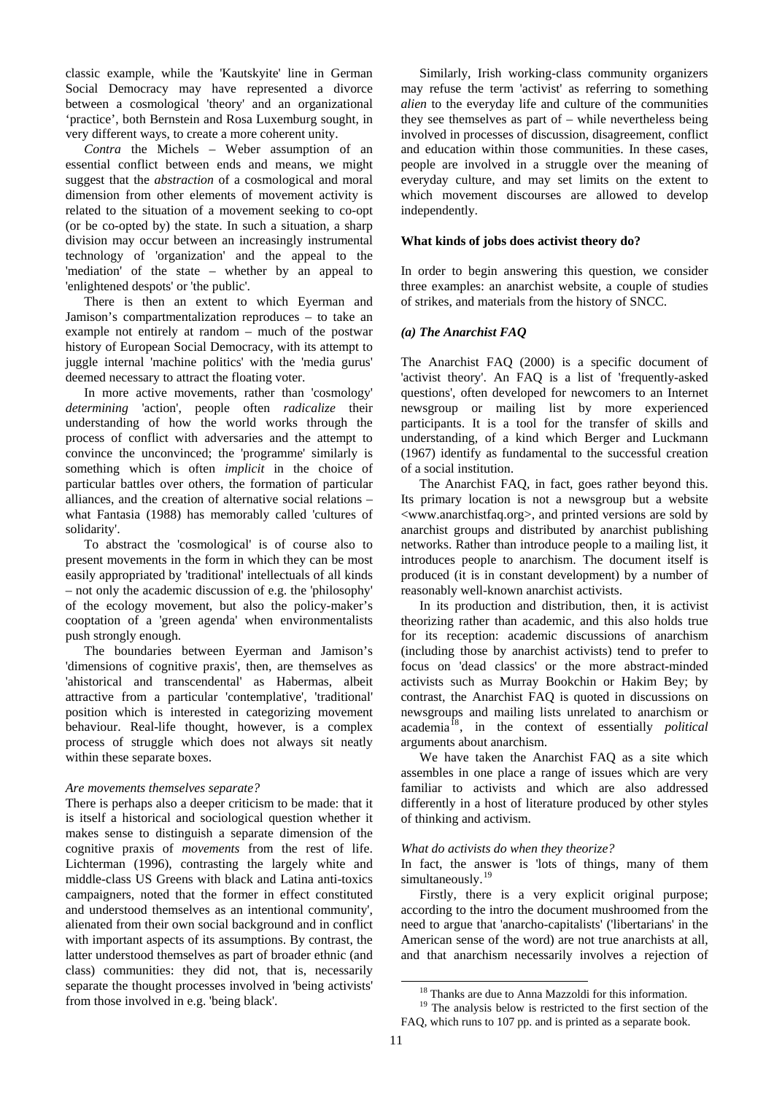classic example, while the 'Kautskyite' line in German Social Democracy may have represented a divorce between a cosmological 'theory' and an organizational 'practice', both Bernstein and Rosa Luxemburg sought, in very different ways, to create a more coherent unity.

*Contra* the Michels – Weber assumption of an essential conflict between ends and means, we might suggest that the *abstraction* of a cosmological and moral dimension from other elements of movement activity is related to the situation of a movement seeking to co-opt (or be co-opted by) the state. In such a situation, a sharp division may occur between an increasingly instrumental technology of 'organization' and the appeal to the 'mediation' of the state – whether by an appeal to 'enlightened despots' or 'the public'.

There is then an extent to which Eyerman and Jamison's compartmentalization reproduces – to take an example not entirely at random – much of the postwar history of European Social Democracy, with its attempt to juggle internal 'machine politics' with the 'media gurus' deemed necessary to attract the floating voter.

In more active movements, rather than 'cosmology' *determining* 'action', people often *radicalize* their understanding of how the world works through the process of conflict with adversaries and the attempt to convince the unconvinced; the 'programme' similarly is something which is often *implicit* in the choice of particular battles over others, the formation of particular alliances, and the creation of alternative social relations – what Fantasia (1988) has memorably called 'cultures of solidarity'.

To abstract the 'cosmological' is of course also to present movements in the form in which they can be most easily appropriated by 'traditional' intellectuals of all kinds – not only the academic discussion of e.g. the 'philosophy' of the ecology movement, but also the policy-maker's cooptation of a 'green agenda' when environmentalists push strongly enough.

The boundaries between Eyerman and Jamison's 'dimensions of cognitive praxis', then, are themselves as 'ahistorical and transcendental' as Habermas, albeit attractive from a particular 'contemplative', 'traditional' position which is interested in categorizing movement behaviour. Real-life thought, however, is a complex process of struggle which does not always sit neatly within these separate boxes.

# *Are movements themselves separate?*

<span id="page-10-1"></span><span id="page-10-0"></span>There is perhaps also a deeper criticism to be made: that it is itself a historical and sociological question whether it makes sense to distinguish a separate dimension of the cognitive praxis of *movements* from the rest of life. Lichterman (1996), contrasting the largely white and middle-class US Greens with black and Latina anti-toxics campaigners, noted that the former in effect constituted and understood themselves as an intentional community', alienated from their own social background and in conflict with important aspects of its assumptions. By contrast, the latter understood themselves as part of broader ethnic (and class) communities: they did not, that is, necessarily separate the thought processes involved in 'being activists' from those involved in e.g. 'being black'.

Similarly, Irish working-class community organizers may refuse the term 'activist' as referring to something *alien* to the everyday life and culture of the communities they see themselves as part of – while nevertheless being involved in processes of discussion, disagreement, conflict and education within those communities. In these cases, people are involved in a struggle over the meaning of everyday culture, and may set limits on the extent to which movement discourses are allowed to develop independently.

# **What kinds of jobs does activist theory do?**

In order to begin answering this question, we consider three examples: an anarchist website, a couple of studies of strikes, and materials from the history of SNCC.

# *(a) The Anarchist FAQ*

The Anarchist FAQ (2000) is a specific document of 'activist theory'. An FAQ is a list of 'frequently-asked questions', often developed for newcomers to an Internet newsgroup or mailing list by more experienced participants. It is a tool for the transfer of skills and understanding, of a kind which Berger and Luckmann (1967) identify as fundamental to the successful creation of a social institution.

The Anarchist FAQ, in fact, goes rather beyond this. Its primary location is not a newsgroup but a website <www.anarchistfaq.org>, and printed versions are sold by anarchist groups and distributed by anarchist publishing networks. Rather than introduce people to a mailing list, it introduces people to anarchism. The document itself is produced (it is in constant development) by a number of reasonably well-known anarchist activists.

In its production and distribution, then, it is activist theorizing rather than academic, and this also holds true for its reception: academic discussions of anarchism (including those by anarchist activists) tend to prefer to focus on 'dead classics' or the more abstract-minded activists such as Murray Bookchin or Hakim Bey; by contrast, the Anarchist FAQ is quoted in discussions on newsgroups and mailing lists unrelated to anarchism or academia[18](#page-10-0), in the context of essentially *political* arguments about anarchism.

We have taken the Anarchist FAQ as a site which assembles in one place a range of issues which are very familiar to activists and which are also addressed differently in a host of literature produced by other styles of thinking and activism.

### *What do activists do when they theorize?*

In fact, the answer is 'lots of things, many of them simultaneously.<sup>[19](#page-10-1)</sup>

Firstly, there is a very explicit original purpose; according to the intro the document mushroomed from the need to argue that 'anarcho-capitalists' ('libertarians' in the American sense of the word) are not true anarchists at all, and that anarchism necessarily involves a rejection of

<sup>&</sup>lt;sup>18</sup> Thanks are due to Anna Mazzoldi for this information.

<sup>&</sup>lt;sup>19</sup> The analysis below is restricted to the first section of the FAQ, which runs to 107 pp. and is printed as a separate book.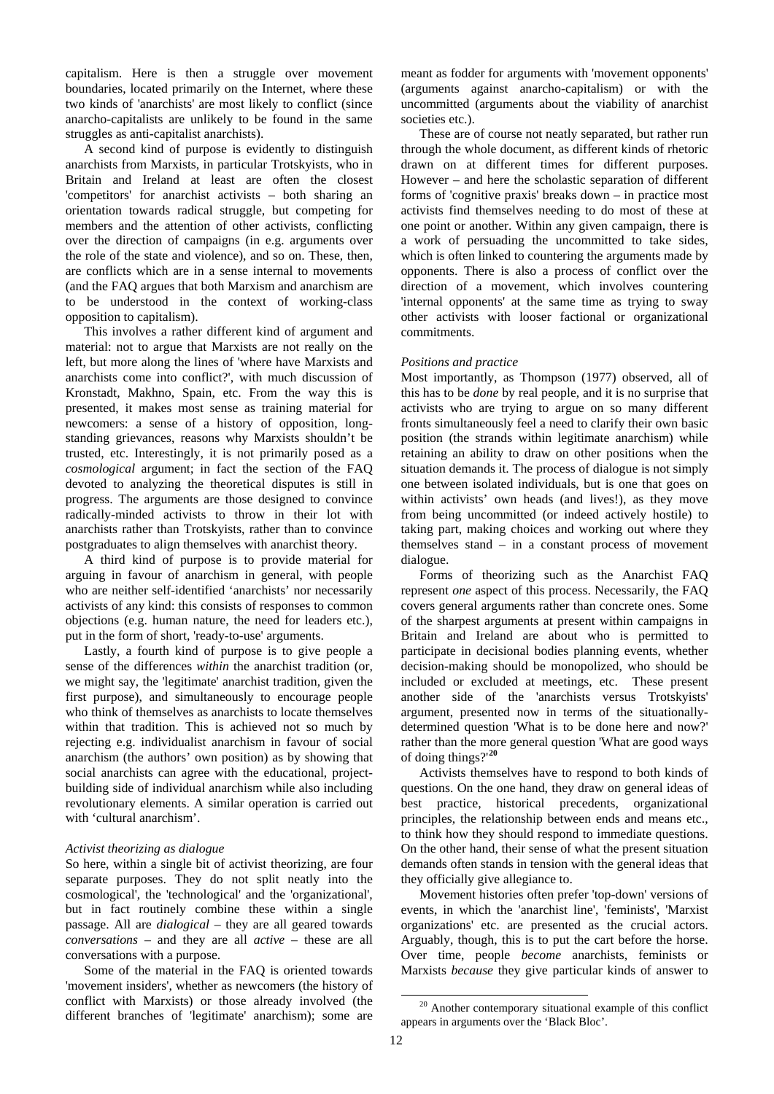capitalism. Here is then a struggle over movement boundaries, located primarily on the Internet, where these two kinds of 'anarchists' are most likely to conflict (since anarcho-capitalists are unlikely to be found in the same struggles as anti-capitalist anarchists).

A second kind of purpose is evidently to distinguish anarchists from Marxists, in particular Trotskyists, who in Britain and Ireland at least are often the closest 'competitors' for anarchist activists – both sharing an orientation towards radical struggle, but competing for members and the attention of other activists, conflicting over the direction of campaigns (in e.g. arguments over the role of the state and violence), and so on. These, then, are conflicts which are in a sense internal to movements (and the FAQ argues that both Marxism and anarchism are to be understood in the context of working-class opposition to capitalism).

This involves a rather different kind of argument and material: not to argue that Marxists are not really on the left, but more along the lines of 'where have Marxists and anarchists come into conflict?', with much discussion of Kronstadt, Makhno, Spain, etc. From the way this is presented, it makes most sense as training material for newcomers: a sense of a history of opposition, longstanding grievances, reasons why Marxists shouldn't be trusted, etc. Interestingly, it is not primarily posed as a *cosmological* argument; in fact the section of the FAQ devoted to analyzing the theoretical disputes is still in progress. The arguments are those designed to convince radically-minded activists to throw in their lot with anarchists rather than Trotskyists, rather than to convince postgraduates to align themselves with anarchist theory.

A third kind of purpose is to provide material for arguing in favour of anarchism in general, with people who are neither self-identified 'anarchists' nor necessarily activists of any kind: this consists of responses to common objections (e.g. human nature, the need for leaders etc.), put in the form of short, 'ready-to-use' arguments.

Lastly, a fourth kind of purpose is to give people a sense of the differences *within* the anarchist tradition (or, we might say, the 'legitimate' anarchist tradition, given the first purpose), and simultaneously to encourage people who think of themselves as anarchists to locate themselves within that tradition. This is achieved not so much by rejecting e.g. individualist anarchism in favour of social anarchism (the authors' own position) as by showing that social anarchists can agree with the educational, projectbuilding side of individual anarchism while also including revolutionary elements. A similar operation is carried out with 'cultural anarchism'.

### *Activist theorizing as dialogue*

So here, within a single bit of activist theorizing, are four separate purposes. They do not split neatly into the cosmological', the 'technological' and the 'organizational', but in fact routinely combine these within a single passage. All are *dialogical* – they are all geared towards *conversations* – and they are all *active* – these are all conversations with a purpose.

<span id="page-11-0"></span>Some of the material in the FAQ is oriented towards 'movement insiders', whether as newcomers (the history of conflict with Marxists) or those already involved (the different branches of 'legitimate' anarchism); some are meant as fodder for arguments with 'movement opponents' (arguments against anarcho-capitalism) or with the uncommitted (arguments about the viability of anarchist societies etc.).

These are of course not neatly separated, but rather run through the whole document, as different kinds of rhetoric drawn on at different times for different purposes. However – and here the scholastic separation of different forms of 'cognitive praxis' breaks down – in practice most activists find themselves needing to do most of these at one point or another. Within any given campaign, there is a work of persuading the uncommitted to take sides, which is often linked to countering the arguments made by opponents. There is also a process of conflict over the direction of a movement, which involves countering 'internal opponents' at the same time as trying to sway other activists with looser factional or organizational commitments.

#### *Positions and practice*

Most importantly, as Thompson (1977) observed, all of this has to be *done* by real people, and it is no surprise that activists who are trying to argue on so many different fronts simultaneously feel a need to clarify their own basic position (the strands within legitimate anarchism) while retaining an ability to draw on other positions when the situation demands it. The process of dialogue is not simply one between isolated individuals, but is one that goes on within activists' own heads (and lives!), as they move from being uncommitted (or indeed actively hostile) to taking part, making choices and working out where they themselves stand – in a constant process of movement dialogue.

Forms of theorizing such as the Anarchist FAQ represent *one* aspect of this process. Necessarily, the FAQ covers general arguments rather than concrete ones. Some of the sharpest arguments at present within campaigns in Britain and Ireland are about who is permitted to participate in decisional bodies planning events, whether decision-making should be monopolized, who should be included or excluded at meetings, etc. These present another side of the 'anarchists versus Trotskyists' argument, presented now in terms of the situationallydetermined question 'What is to be done here and now?' rather than the more general question 'What are good ways of doing things?'**[20](#page-11-0)**

Activists themselves have to respond to both kinds of questions. On the one hand, they draw on general ideas of best practice, historical precedents, organizational principles, the relationship between ends and means etc., to think how they should respond to immediate questions. On the other hand, their sense of what the present situation demands often stands in tension with the general ideas that they officially give allegiance to.

Movement histories often prefer 'top-down' versions of events, in which the 'anarchist line', 'feminists', 'Marxist organizations' etc. are presented as the crucial actors. Arguably, though, this is to put the cart before the horse. Over time, people *become* anarchists, feminists or Marxists *because* they give particular kinds of answer to

<sup>&</sup>lt;sup>20</sup> Another contemporary situational example of this conflict appears in arguments over the 'Black Bloc'.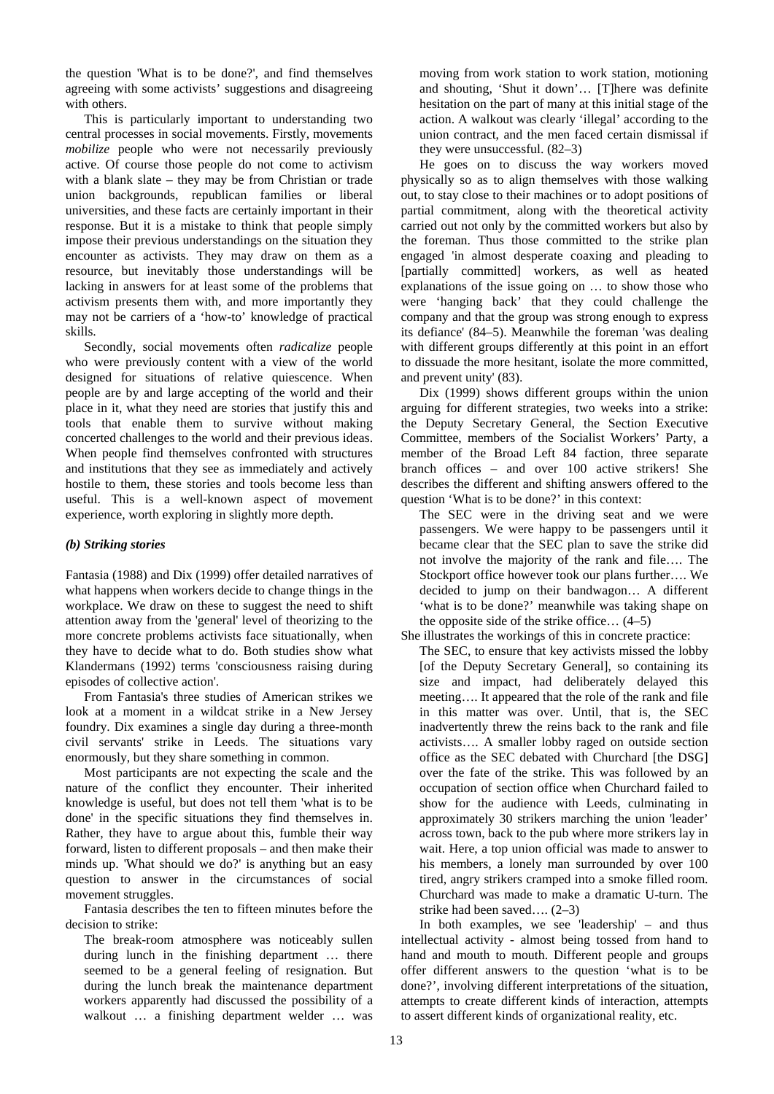the question 'What is to be done?', and find themselves agreeing with some activists' suggestions and disagreeing with others.

This is particularly important to understanding two central processes in social movements. Firstly, movements *mobilize* people who were not necessarily previously active. Of course those people do not come to activism with a blank slate – they may be from Christian or trade union backgrounds, republican families or liberal universities, and these facts are certainly important in their response. But it is a mistake to think that people simply impose their previous understandings on the situation they encounter as activists. They may draw on them as a resource, but inevitably those understandings will be lacking in answers for at least some of the problems that activism presents them with, and more importantly they may not be carriers of a 'how-to' knowledge of practical skills.

Secondly, social movements often *radicalize* people who were previously content with a view of the world designed for situations of relative quiescence. When people are by and large accepting of the world and their place in it, what they need are stories that justify this and tools that enable them to survive without making concerted challenges to the world and their previous ideas. When people find themselves confronted with structures and institutions that they see as immediately and actively hostile to them, these stories and tools become less than useful. This is a well-known aspect of movement experience, worth exploring in slightly more depth.

# *(b) Striking stories*

Fantasia (1988) and Dix (1999) offer detailed narratives of what happens when workers decide to change things in the workplace. We draw on these to suggest the need to shift attention away from the 'general' level of theorizing to the more concrete problems activists face situationally, when they have to decide what to do. Both studies show what Klandermans (1992) terms 'consciousness raising during episodes of collective action'.

From Fantasia's three studies of American strikes we look at a moment in a wildcat strike in a New Jersey foundry. Dix examines a single day during a three-month civil servants' strike in Leeds. The situations vary enormously, but they share something in common.

Most participants are not expecting the scale and the nature of the conflict they encounter. Their inherited knowledge is useful, but does not tell them 'what is to be done' in the specific situations they find themselves in. Rather, they have to argue about this, fumble their way forward, listen to different proposals – and then make their minds up. 'What should we do?' is anything but an easy question to answer in the circumstances of social movement struggles.

Fantasia describes the ten to fifteen minutes before the decision to strike:

The break-room atmosphere was noticeably sullen during lunch in the finishing department … there seemed to be a general feeling of resignation. But during the lunch break the maintenance department workers apparently had discussed the possibility of a walkout … a finishing department welder … was

moving from work station to work station, motioning and shouting, 'Shut it down'… [T]here was definite hesitation on the part of many at this initial stage of the action. A walkout was clearly 'illegal' according to the union contract, and the men faced certain dismissal if they were unsuccessful. (82–3)

He goes on to discuss the way workers moved physically so as to align themselves with those walking out, to stay close to their machines or to adopt positions of partial commitment, along with the theoretical activity carried out not only by the committed workers but also by the foreman. Thus those committed to the strike plan engaged 'in almost desperate coaxing and pleading to [partially committed] workers, as well as heated explanations of the issue going on … to show those who were 'hanging back' that they could challenge the company and that the group was strong enough to express its defiance' (84–5). Meanwhile the foreman 'was dealing with different groups differently at this point in an effort to dissuade the more hesitant, isolate the more committed, and prevent unity' (83).

Dix (1999) shows different groups within the union arguing for different strategies, two weeks into a strike: the Deputy Secretary General, the Section Executive Committee, members of the Socialist Workers' Party, a member of the Broad Left 84 faction, three separate branch offices – and over 100 active strikers! She describes the different and shifting answers offered to the question 'What is to be done?' in this context:

The SEC were in the driving seat and we were passengers. We were happy to be passengers until it became clear that the SEC plan to save the strike did not involve the majority of the rank and file…. The Stockport office however took our plans further…. We decided to jump on their bandwagon… A different 'what is to be done?' meanwhile was taking shape on the opposite side of the strike office… (4–5)

She illustrates the workings of this in concrete practice: The SEC, to ensure that key activists missed the lobby [of the Deputy Secretary General], so containing its size and impact, had deliberately delayed this meeting…. It appeared that the role of the rank and file in this matter was over. Until, that is, the SEC inadvertently threw the reins back to the rank and file activists…. A smaller lobby raged on outside section office as the SEC debated with Churchard [the DSG] over the fate of the strike. This was followed by an occupation of section office when Churchard failed to show for the audience with Leeds, culminating in approximately 30 strikers marching the union 'leader' across town, back to the pub where more strikers lay in wait. Here, a top union official was made to answer to his members, a lonely man surrounded by over 100 tired, angry strikers cramped into a smoke filled room. Churchard was made to make a dramatic U-turn. The strike had been saved…. (2–3)

In both examples, we see 'leadership' – and thus intellectual activity - almost being tossed from hand to hand and mouth to mouth. Different people and groups offer different answers to the question 'what is to be done?', involving different interpretations of the situation, attempts to create different kinds of interaction, attempts to assert different kinds of organizational reality, etc.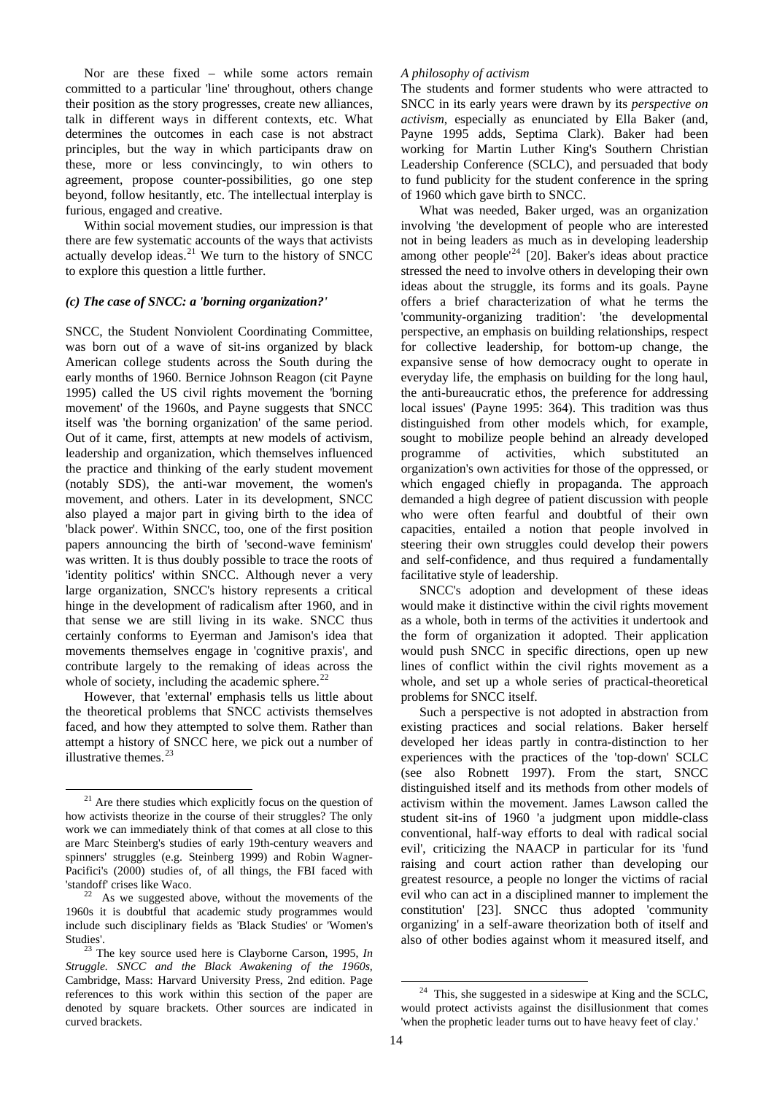Nor are these fixed – while some actors remain committed to a particular 'line' throughout, others change their position as the story progresses, create new alliances, talk in different ways in different contexts, etc. What determines the outcomes in each case is not abstract principles, but the way in which participants draw on these, more or less convincingly, to win others to agreement, propose counter-possibilities, go one step beyond, follow hesitantly, etc. The intellectual interplay is furious, engaged and creative.

Within social movement studies, our impression is that there are few systematic accounts of the ways that activists actually develop ideas.<sup>[21](#page-13-0)</sup> We turn to the history of SNCC to explore this question a little further.

#### *(c) The case of SNCC: a 'borning organization?'*

SNCC, the Student Nonviolent Coordinating Committee, was born out of a wave of sit-ins organized by black American college students across the South during the early months of 1960. Bernice Johnson Reagon (cit Payne 1995) called the US civil rights movement the 'borning movement' of the 1960s, and Payne suggests that SNCC itself was 'the borning organization' of the same period. Out of it came, first, attempts at new models of activism, leadership and organization, which themselves influenced the practice and thinking of the early student movement (notably SDS), the anti-war movement, the women's movement, and others. Later in its development, SNCC also played a major part in giving birth to the idea of 'black power'. Within SNCC, too, one of the first position papers announcing the birth of 'second-wave feminism' was written. It is thus doubly possible to trace the roots of 'identity politics' within SNCC. Although never a very large organization, SNCC's history represents a critical hinge in the development of radicalism after 1960, and in that sense we are still living in its wake. SNCC thus certainly conforms to Eyerman and Jamison's idea that movements themselves engage in 'cognitive praxis', and contribute largely to the remaking of ideas across the whole of society, including the academic sphere. $^{22}$  $^{22}$  $^{22}$ 

However, that 'external' emphasis tells us little about the theoretical problems that SNCC activists themselves faced, and how they attempted to solve them. Rather than attempt a history of SNCC here, we pick out a number of illustrative themes. $23$ 

 $\overline{a}$ 

### *A philosophy of activism*

The students and former students who were attracted to SNCC in its early years were drawn by its *perspective on activism*, especially as enunciated by Ella Baker (and, Payne 1995 adds, Septima Clark). Baker had been working for Martin Luther King's Southern Christian Leadership Conference (SCLC), and persuaded that body to fund publicity for the student conference in the spring of 1960 which gave birth to SNCC.

What was needed, Baker urged, was an organization involving 'the development of people who are interested not in being leaders as much as in developing leadership not in being requests as move to the contract of a smooth practice among other people<sup>1[24](#page-13-3)</sup> [20]. Baker's ideas about practice stressed the need to involve others in developing their own ideas about the struggle, its forms and its goals. Payne offers a brief characterization of what he terms the 'community-organizing tradition': 'the developmental perspective, an emphasis on building relationships, respect for collective leadership, for bottom-up change, the expansive sense of how democracy ought to operate in everyday life, the emphasis on building for the long haul, the anti-bureaucratic ethos, the preference for addressing local issues' (Payne 1995: 364). This tradition was thus distinguished from other models which, for example, sought to mobilize people behind an already developed programme of activities, which substituted an organization's own activities for those of the oppressed, or which engaged chiefly in propaganda. The approach demanded a high degree of patient discussion with people who were often fearful and doubtful of their own capacities, entailed a notion that people involved in steering their own struggles could develop their powers and self-confidence, and thus required a fundamentally facilitative style of leadership.

SNCC's adoption and development of these ideas would make it distinctive within the civil rights movement as a whole, both in terms of the activities it undertook and the form of organization it adopted. Their application would push SNCC in specific directions, open up new lines of conflict within the civil rights movement as a whole, and set up a whole series of practical-theoretical problems for SNCC itself.

Such a perspective is not adopted in abstraction from existing practices and social relations. Baker herself developed her ideas partly in contra-distinction to her experiences with the practices of the 'top-down' SCLC (see also Robnett 1997). From the start, SNCC distinguished itself and its methods from other models of activism within the movement. James Lawson called the student sit-ins of 1960 'a judgment upon middle-class conventional, half-way efforts to deal with radical social evil', criticizing the NAACP in particular for its 'fund raising and court action rather than developing our greatest resource, a people no longer the victims of racial evil who can act in a disciplined manner to implement the constitution' [23]. SNCC thus adopted 'community organizing' in a self-aware theorization both of itself and also of other bodies against whom it measured itself, and

-

<span id="page-13-0"></span><sup>&</sup>lt;sup>21</sup> Are there studies which explicitly focus on the question of how activists theorize in the course of their struggles? The only work we can immediately think of that comes at all close to this are Marc Steinberg's studies of early 19th-century weavers and spinners' struggles (e.g. Steinberg 1999) and Robin Wagner-Pacifici's (2000) studies of, of all things, the FBI faced with 'standoff' crises like Waco.<br><sup>22</sup> As we suggested above, without the movements of the

<span id="page-13-1"></span><sup>1960</sup>s it is doubtful that academic study programmes would include such disciplinary fields as 'Black Studies' or 'Women's

<span id="page-13-3"></span><span id="page-13-2"></span>Studies'. 23 The key source used here is Clayborne Carson, 1995, *In Struggle. SNCC and the Black Awakening of the 1960s*, Cambridge, Mass: Harvard University Press, 2nd edition. Page references to this work within this section of the paper are denoted by square brackets. Other sources are indicated in curved brackets.

<sup>&</sup>lt;sup>24</sup> This, she suggested in a sideswipe at King and the SCLC, would protect activists against the disillusionment that comes 'when the prophetic leader turns out to have heavy feet of clay.'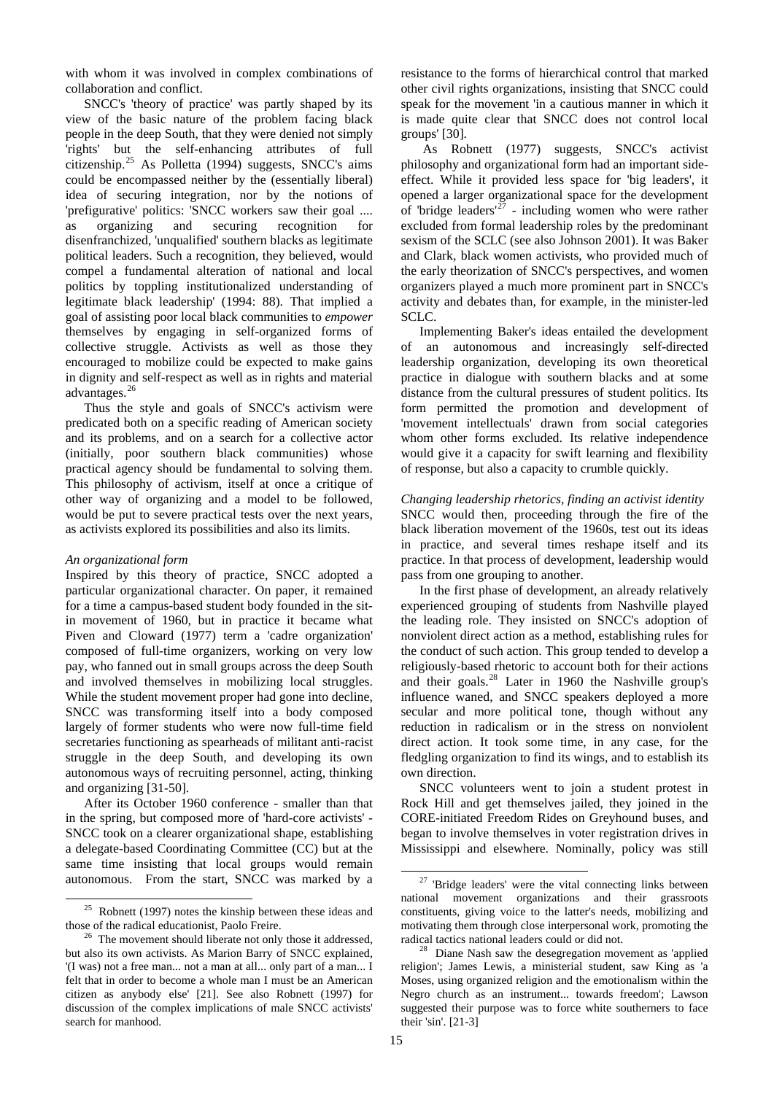with whom it was involved in complex combinations of collaboration and conflict.

SNCC's 'theory of practice' was partly shaped by its view of the basic nature of the problem facing black people in the deep South, that they were denied not simply 'rights' but the self-enhancing attributes of full citizenship.<sup>[25](#page-14-0)</sup> As Polletta (1994) suggests, SNCC's aims could be encompassed neither by the (essentially liberal) idea of securing integration, nor by the notions of 'prefigurative' politics: 'SNCC workers saw their goal .... as organizing and securing recognition for disenfranchized, 'unqualified' southern blacks as legitimate political leaders. Such a recognition, they believed, would compel a fundamental alteration of national and local politics by toppling institutionalized understanding of legitimate black leadership' (1994: 88). That implied a goal of assisting poor local black communities to *empower* themselves by engaging in self-organized forms of collective struggle. Activists as well as those they encouraged to mobilize could be expected to make gains in dignity and self-respect as well as in rights and material advantages.[26](#page-14-1)

Thus the style and goals of SNCC's activism were predicated both on a specific reading of American society and its problems, and on a search for a collective actor (initially, poor southern black communities) whose practical agency should be fundamental to solving them. This philosophy of activism, itself at once a critique of other way of organizing and a model to be followed, would be put to severe practical tests over the next years, as activists explored its possibilities and also its limits.

### *An organizational form*

Inspired by this theory of practice, SNCC adopted a particular organizational character. On paper, it remained for a time a campus-based student body founded in the sitin movement of 1960, but in practice it became what Piven and Cloward (1977) term a 'cadre organization' composed of full-time organizers, working on very low pay, who fanned out in small groups across the deep South and involved themselves in mobilizing local struggles. While the student movement proper had gone into decline, SNCC was transforming itself into a body composed largely of former students who were now full-time field secretaries functioning as spearheads of militant anti-racist struggle in the deep South, and developing its own autonomous ways of recruiting personnel, acting, thinking and organizing [31-50].

After its October 1960 conference - smaller than that in the spring, but composed more of 'hard-core activists' - SNCC took on a clearer organizational shape, establishing a delegate-based Coordinating Committee (CC) but at the same time insisting that local groups would remain autonomous. From the start, SNCC was marked by a resistance to the forms of hierarchical control that marked other civil rights organizations, insisting that SNCC could speak for the movement 'in a cautious manner in which it is made quite clear that SNCC does not control local groups' [30].

 As Robnett (1977) suggests, SNCC's activist philosophy and organizational form had an important sideeffect. While it provided less space for 'big leaders', it opened a larger organizational space for the development of 'bridge leaders'<sup>[27](#page-14-2)</sup> - including women who were rather excluded from formal leadership roles by the predominant sexism of the SCLC (see also Johnson 2001). It was Baker and Clark, black women activists, who provided much of the early theorization of SNCC's perspectives, and women organizers played a much more prominent part in SNCC's activity and debates than, for example, in the minister-led SCLC.

Implementing Baker's ideas entailed the development of an autonomous and increasingly self-directed leadership organization, developing its own theoretical practice in dialogue with southern blacks and at some distance from the cultural pressures of student politics. Its form permitted the promotion and development of 'movement intellectuals' drawn from social categories whom other forms excluded. Its relative independence would give it a capacity for swift learning and flexibility of response, but also a capacity to crumble quickly.

*Changing leadership rhetorics, finding an activist identity*  SNCC would then, proceeding through the fire of the black liberation movement of the 1960s, test out its ideas in practice, and several times reshape itself and its practice. In that process of development, leadership would pass from one grouping to another.

In the first phase of development, an already relatively experienced grouping of students from Nashville played the leading role. They insisted on SNCC's adoption of nonviolent direct action as a method, establishing rules for the conduct of such action. This group tended to develop a religiously-based rhetoric to account both for their actions and their goals.[28](#page-14-3) Later in 1960 the Nashville group's influence waned, and SNCC speakers deployed a more secular and more political tone, though without any reduction in radicalism or in the stress on nonviolent direct action. It took some time, in any case, for the fledgling organization to find its wings, and to establish its own direction.

SNCC volunteers went to join a student protest in Rock Hill and get themselves jailed, they joined in the CORE-initiated Freedom Rides on Greyhound buses, and began to involve themselves in voter registration drives in Mississippi and elsewhere. Nominally, policy was still

-

<span id="page-14-2"></span><span id="page-14-0"></span>l  $^{25}$  Robnett (1997) notes the kinship between these ideas and those of the radical educationist, Paolo Freire.

<span id="page-14-3"></span><span id="page-14-1"></span><sup>&</sup>lt;sup>26</sup> The movement should liberate not only those it addressed, but also its own activists. As Marion Barry of SNCC explained, '(I was) not a free man... not a man at all... only part of a man... I felt that in order to become a whole man I must be an American citizen as anybody else' [21]. See also Robnett (1997) for discussion of the complex implications of male SNCC activists' search for manhood.

 $27$  'Bridge leaders' were the vital connecting links between national movement organizations and their grassroots constituents, giving voice to the latter's needs, mobilizing and motivating them through close interpersonal work, promoting the radical tactics national leaders could or did not. 28 Diane Nash saw the desegregation movement as 'applied

religion'; James Lewis, a ministerial student, saw King as 'a Moses, using organized religion and the emotionalism within the Negro church as an instrument... towards freedom'; Lawson suggested their purpose was to force white southerners to face their 'sin'. [21-3]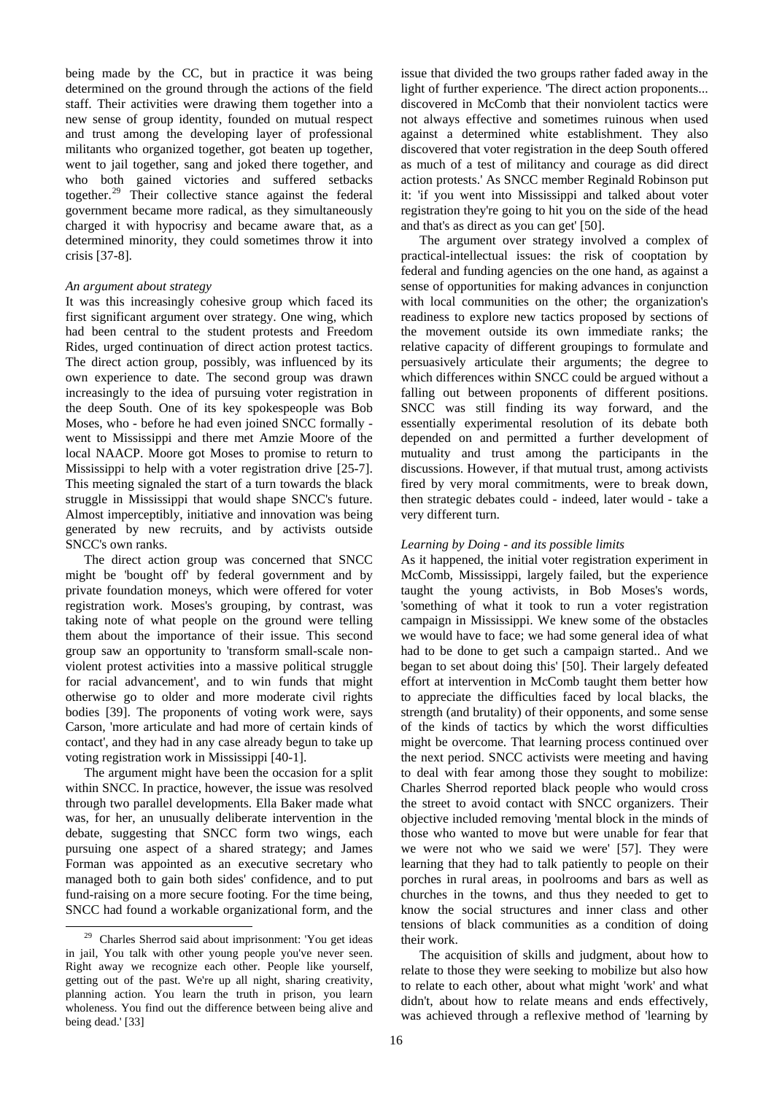being made by the CC, but in practice it was being determined on the ground through the actions of the field staff. Their activities were drawing them together into a new sense of group identity, founded on mutual respect and trust among the developing layer of professional militants who organized together, got beaten up together, went to jail together, sang and joked there together, and who both gained victories and suffered setbacks together.[29](#page-15-0) Their collective stance against the federal government became more radical, as they simultaneously charged it with hypocrisy and became aware that, as a determined minority, they could sometimes throw it into crisis [37-8].

### *An argument about strategy*

It was this increasingly cohesive group which faced its first significant argument over strategy. One wing, which had been central to the student protests and Freedom Rides, urged continuation of direct action protest tactics. The direct action group, possibly, was influenced by its own experience to date. The second group was drawn increasingly to the idea of pursuing voter registration in the deep South. One of its key spokespeople was Bob Moses, who - before he had even joined SNCC formally went to Mississippi and there met Amzie Moore of the local NAACP. Moore got Moses to promise to return to Mississippi to help with a voter registration drive [25-7]. This meeting signaled the start of a turn towards the black struggle in Mississippi that would shape SNCC's future. Almost imperceptibly, initiative and innovation was being generated by new recruits, and by activists outside SNCC's own ranks.

The direct action group was concerned that SNCC might be 'bought off' by federal government and by private foundation moneys, which were offered for voter registration work. Moses's grouping, by contrast, was taking note of what people on the ground were telling them about the importance of their issue. This second group saw an opportunity to 'transform small-scale nonviolent protest activities into a massive political struggle for racial advancement', and to win funds that might otherwise go to older and more moderate civil rights bodies [39]. The proponents of voting work were, says Carson, 'more articulate and had more of certain kinds of contact', and they had in any case already begun to take up voting registration work in Mississippi [40-1].

The argument might have been the occasion for a split within SNCC. In practice, however, the issue was resolved through two parallel developments. Ella Baker made what was, for her, an unusually deliberate intervention in the debate, suggesting that SNCC form two wings, each pursuing one aspect of a shared strategy; and James Forman was appointed as an executive secretary who managed both to gain both sides' confidence, and to put fund-raising on a more secure footing. For the time being, SNCC had found a workable organizational form, and the issue that divided the two groups rather faded away in the light of further experience. 'The direct action proponents... discovered in McComb that their nonviolent tactics were not always effective and sometimes ruinous when used against a determined white establishment. They also discovered that voter registration in the deep South offered as much of a test of militancy and courage as did direct action protests.' As SNCC member Reginald Robinson put it: 'if you went into Mississippi and talked about voter registration they're going to hit you on the side of the head and that's as direct as you can get' [50].

The argument over strategy involved a complex of practical-intellectual issues: the risk of cooptation by federal and funding agencies on the one hand, as against a sense of opportunities for making advances in conjunction with local communities on the other; the organization's readiness to explore new tactics proposed by sections of the movement outside its own immediate ranks; the relative capacity of different groupings to formulate and persuasively articulate their arguments; the degree to which differences within SNCC could be argued without a falling out between proponents of different positions. SNCC was still finding its way forward, and the essentially experimental resolution of its debate both depended on and permitted a further development of mutuality and trust among the participants in the discussions. However, if that mutual trust, among activists fired by very moral commitments, were to break down, then strategic debates could - indeed, later would - take a very different turn.

## *Learning by Doing - and its possible limits*

As it happened, the initial voter registration experiment in McComb, Mississippi, largely failed, but the experience taught the young activists, in Bob Moses's words, 'something of what it took to run a voter registration campaign in Mississippi. We knew some of the obstacles we would have to face; we had some general idea of what had to be done to get such a campaign started.. And we began to set about doing this' [50]. Their largely defeated effort at intervention in McComb taught them better how to appreciate the difficulties faced by local blacks, the strength (and brutality) of their opponents, and some sense of the kinds of tactics by which the worst difficulties might be overcome. That learning process continued over the next period. SNCC activists were meeting and having to deal with fear among those they sought to mobilize: Charles Sherrod reported black people who would cross the street to avoid contact with SNCC organizers. Their objective included removing 'mental block in the minds of those who wanted to move but were unable for fear that we were not who we said we were' [57]. They were learning that they had to talk patiently to people on their porches in rural areas, in poolrooms and bars as well as churches in the towns, and thus they needed to get to know the social structures and inner class and other tensions of black communities as a condition of doing their work.

The acquisition of skills and judgment, about how to relate to those they were seeking to mobilize but also how to relate to each other, about what might 'work' and what didn't, about how to relate means and ends effectively, was achieved through a reflexive method of 'learning by

<span id="page-15-0"></span> <sup>29</sup> Charles Sherrod said about imprisonment: 'You get ideas in jail, You talk with other young people you've never seen. Right away we recognize each other. People like yourself, getting out of the past. We're up all night, sharing creativity, planning action. You learn the truth in prison, you learn wholeness. You find out the difference between being alive and being dead.' [33]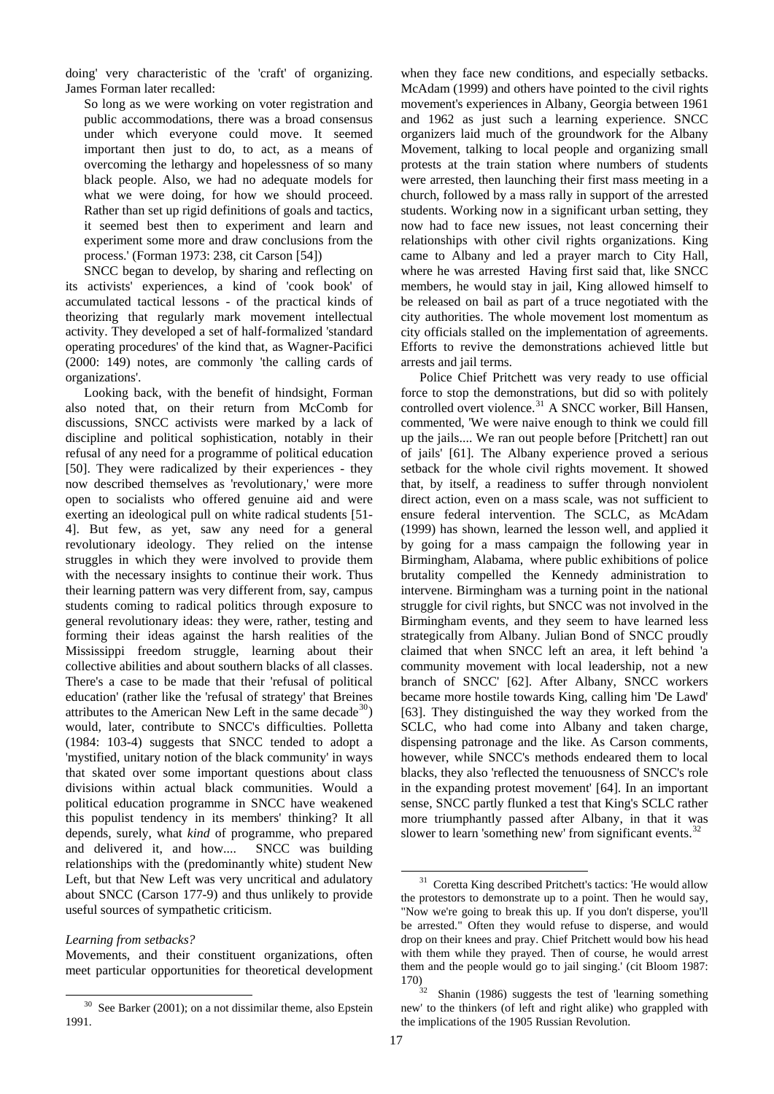doing' very characteristic of the 'craft' of organizing. James Forman later recalled:

So long as we were working on voter registration and public accommodations, there was a broad consensus under which everyone could move. It seemed important then just to do, to act, as a means of overcoming the lethargy and hopelessness of so many black people. Also, we had no adequate models for what we were doing, for how we should proceed. Rather than set up rigid definitions of goals and tactics, it seemed best then to experiment and learn and experiment some more and draw conclusions from the process.' (Forman 1973: 238, cit Carson [54])

SNCC began to develop, by sharing and reflecting on its activists' experiences, a kind of 'cook book' of accumulated tactical lessons - of the practical kinds of theorizing that regularly mark movement intellectual activity. They developed a set of half-formalized 'standard operating procedures' of the kind that, as Wagner-Pacifici (2000: 149) notes, are commonly 'the calling cards of organizations'.

Looking back, with the benefit of hindsight, Forman also noted that, on their return from McComb for discussions, SNCC activists were marked by a lack of discipline and political sophistication, notably in their refusal of any need for a programme of political education [50]. They were radicalized by their experiences - they now described themselves as 'revolutionary,' were more open to socialists who offered genuine aid and were exerting an ideological pull on white radical students [51- 4]. But few, as yet, saw any need for a general revolutionary ideology. They relied on the intense struggles in which they were involved to provide them with the necessary insights to continue their work. Thus their learning pattern was very different from, say, campus students coming to radical politics through exposure to general revolutionary ideas: they were, rather, testing and forming their ideas against the harsh realities of the Mississippi freedom struggle, learning about their collective abilities and about southern blacks of all classes. There's a case to be made that their 'refusal of political education' (rather like the 'refusal of strategy' that Breines attributes to the American New Left in the same decade<sup>[30](#page-16-0)</sup>) would, later, contribute to SNCC's difficulties. Polletta (1984: 103-4) suggests that SNCC tended to adopt a 'mystified, unitary notion of the black community' in ways that skated over some important questions about class divisions within actual black communities. Would a political education programme in SNCC have weakened this populist tendency in its members' thinking? It all depends, surely, what *kind* of programme, who prepared and delivered it, and how.... SNCC was building relationships with the (predominantly white) student New Left, but that New Left was very uncritical and adulatory about SNCC (Carson 177-9) and thus unlikely to provide useful sources of sympathetic criticism.

Movements, and their constituent organizations, often meet particular opportunities for theoretical development when they face new conditions, and especially setbacks. McAdam (1999) and others have pointed to the civil rights movement's experiences in Albany, Georgia between 1961 and 1962 as just such a learning experience. SNCC organizers laid much of the groundwork for the Albany Movement, talking to local people and organizing small protests at the train station where numbers of students were arrested, then launching their first mass meeting in a church, followed by a mass rally in support of the arrested students. Working now in a significant urban setting, they now had to face new issues, not least concerning their relationships with other civil rights organizations. King came to Albany and led a prayer march to City Hall, where he was arrested Having first said that, like SNCC members, he would stay in jail, King allowed himself to be released on bail as part of a truce negotiated with the city authorities. The whole movement lost momentum as city officials stalled on the implementation of agreements. Efforts to revive the demonstrations achieved little but arrests and jail terms.

Police Chief Pritchett was very ready to use official force to stop the demonstrations, but did so with politely controlled overt violence.<sup>[31](#page-16-1)</sup> A SNCC worker, Bill Hansen, commented, 'We were naive enough to think we could fill up the jails.... We ran out people before [Pritchett] ran out of jails' [61]. The Albany experience proved a serious setback for the whole civil rights movement. It showed that, by itself, a readiness to suffer through nonviolent direct action, even on a mass scale, was not sufficient to ensure federal intervention. The SCLC, as McAdam (1999) has shown, learned the lesson well, and applied it by going for a mass campaign the following year in Birmingham, Alabama, where public exhibitions of police brutality compelled the Kennedy administration to intervene. Birmingham was a turning point in the national struggle for civil rights, but SNCC was not involved in the Birmingham events, and they seem to have learned less strategically from Albany. Julian Bond of SNCC proudly claimed that when SNCC left an area, it left behind 'a community movement with local leadership, not a new branch of SNCC' [62]. After Albany, SNCC workers became more hostile towards King, calling him 'De Lawd' [63]. They distinguished the way they worked from the SCLC, who had come into Albany and taken charge, dispensing patronage and the like. As Carson comments, however, while SNCC's methods endeared them to local blacks, they also 'reflected the tenuousness of SNCC's role in the expanding protest movement' [64]. In an important sense, SNCC partly flunked a test that King's SCLC rather more triumphantly passed after Albany, in that it was slower to learn 'something new' from significant events.<sup>[32](#page-16-2)</sup>

-

<span id="page-16-1"></span>*Learning from setbacks?*

<span id="page-16-2"></span><span id="page-16-0"></span> $\overline{a}$ <sup>30</sup> See Barker (2001); on a not dissimilar theme, also Epstein 1991.

 $31$  Coretta King described Pritchett's tactics: 'He would allow the protestors to demonstrate up to a point. Then he would say, "Now we're going to break this up. If you don't disperse, you'll be arrested." Often they would refuse to disperse, and would drop on their knees and pray. Chief Pritchett would bow his head with them while they prayed. Then of course, he would arrest them and the people would go to jail singing.' (cit Bloom 1987:

Shanin (1986) suggests the test of 'learning something new' to the thinkers (of left and right alike) who grappled with the implications of the 1905 Russian Revolution.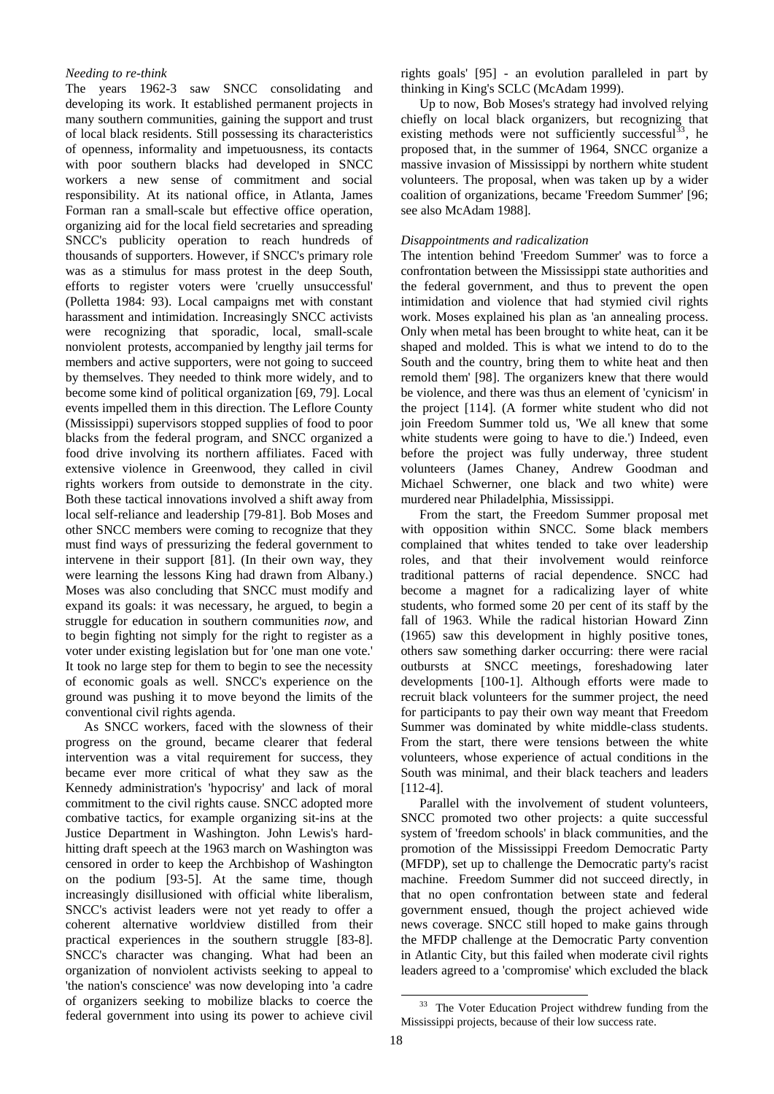## *Needing to re-think*

The years 1962-3 saw SNCC consolidating and developing its work. It established permanent projects in many southern communities, gaining the support and trust of local black residents. Still possessing its characteristics of openness, informality and impetuousness, its contacts with poor southern blacks had developed in SNCC workers a new sense of commitment and social responsibility. At its national office, in Atlanta, James Forman ran a small-scale but effective office operation, organizing aid for the local field secretaries and spreading SNCC's publicity operation to reach hundreds of thousands of supporters. However, if SNCC's primary role was as a stimulus for mass protest in the deep South, efforts to register voters were 'cruelly unsuccessful' (Polletta 1984: 93). Local campaigns met with constant harassment and intimidation. Increasingly SNCC activists were recognizing that sporadic, local, small-scale nonviolent protests, accompanied by lengthy jail terms for members and active supporters, were not going to succeed by themselves. They needed to think more widely, and to become some kind of political organization [69, 79]. Local events impelled them in this direction. The Leflore County (Mississippi) supervisors stopped supplies of food to poor blacks from the federal program, and SNCC organized a food drive involving its northern affiliates. Faced with extensive violence in Greenwood, they called in civil rights workers from outside to demonstrate in the city. Both these tactical innovations involved a shift away from local self-reliance and leadership [79-81]. Bob Moses and other SNCC members were coming to recognize that they must find ways of pressurizing the federal government to intervene in their support [81]. (In their own way, they were learning the lessons King had drawn from Albany.) Moses was also concluding that SNCC must modify and expand its goals: it was necessary, he argued, to begin a struggle for education in southern communities *now*, and to begin fighting not simply for the right to register as a voter under existing legislation but for 'one man one vote.' It took no large step for them to begin to see the necessity of economic goals as well. SNCC's experience on the ground was pushing it to move beyond the limits of the conventional civil rights agenda.

<span id="page-17-0"></span>As SNCC workers, faced with the slowness of their progress on the ground, became clearer that federal intervention was a vital requirement for success, they became ever more critical of what they saw as the Kennedy administration's 'hypocrisy' and lack of moral commitment to the civil rights cause. SNCC adopted more combative tactics, for example organizing sit-ins at the Justice Department in Washington. John Lewis's hardhitting draft speech at the 1963 march on Washington was censored in order to keep the Archbishop of Washington on the podium [93-5]. At the same time, though increasingly disillusioned with official white liberalism, SNCC's activist leaders were not yet ready to offer a coherent alternative worldview distilled from their practical experiences in the southern struggle [83-8]. SNCC's character was changing. What had been an organization of nonviolent activists seeking to appeal to 'the nation's conscience' was now developing into 'a cadre of organizers seeking to mobilize blacks to coerce the federal government into using its power to achieve civil

rights goals' [95] - an evolution paralleled in part by thinking in King's SCLC (McAdam 1999).

Up to now, Bob Moses's strategy had involved relying chiefly on local black organizers, but recognizing that existing methods were not sufficiently successful<sup>[33](#page-17-0)</sup>, he proposed that, in the summer of 1964, SNCC organize a massive invasion of Mississippi by northern white student volunteers. The proposal, when was taken up by a wider coalition of organizations, became 'Freedom Summer' [96; see also McAdam 1988].

# *Disappointments and radicalization*

The intention behind 'Freedom Summer' was to force a confrontation between the Mississippi state authorities and the federal government, and thus to prevent the open intimidation and violence that had stymied civil rights work. Moses explained his plan as 'an annealing process. Only when metal has been brought to white heat, can it be shaped and molded. This is what we intend to do to the South and the country, bring them to white heat and then remold them' [98]. The organizers knew that there would be violence, and there was thus an element of 'cynicism' in the project [114]. (A former white student who did not join Freedom Summer told us, 'We all knew that some white students were going to have to die.') Indeed, even before the project was fully underway, three student volunteers (James Chaney, Andrew Goodman and Michael Schwerner, one black and two white) were murdered near Philadelphia, Mississippi.

From the start, the Freedom Summer proposal met with opposition within SNCC. Some black members complained that whites tended to take over leadership roles, and that their involvement would reinforce traditional patterns of racial dependence. SNCC had become a magnet for a radicalizing layer of white students, who formed some 20 per cent of its staff by the fall of 1963. While the radical historian Howard Zinn (1965) saw this development in highly positive tones, others saw something darker occurring: there were racial outbursts at SNCC meetings, foreshadowing later developments [100-1]. Although efforts were made to recruit black volunteers for the summer project, the need for participants to pay their own way meant that Freedom Summer was dominated by white middle-class students. From the start, there were tensions between the white volunteers, whose experience of actual conditions in the South was minimal, and their black teachers and leaders [112-4].

Parallel with the involvement of student volunteers, SNCC promoted two other projects: a quite successful system of 'freedom schools' in black communities, and the promotion of the Mississippi Freedom Democratic Party (MFDP), set up to challenge the Democratic party's racist machine. Freedom Summer did not succeed directly, in that no open confrontation between state and federal government ensued, though the project achieved wide news coverage. SNCC still hoped to make gains through the MFDP challenge at the Democratic Party convention in Atlantic City, but this failed when moderate civil rights leaders agreed to a 'compromise' which excluded the black

<sup>&</sup>lt;sup>33</sup> The Voter Education Project withdrew funding from the Mississippi projects, because of their low success rate.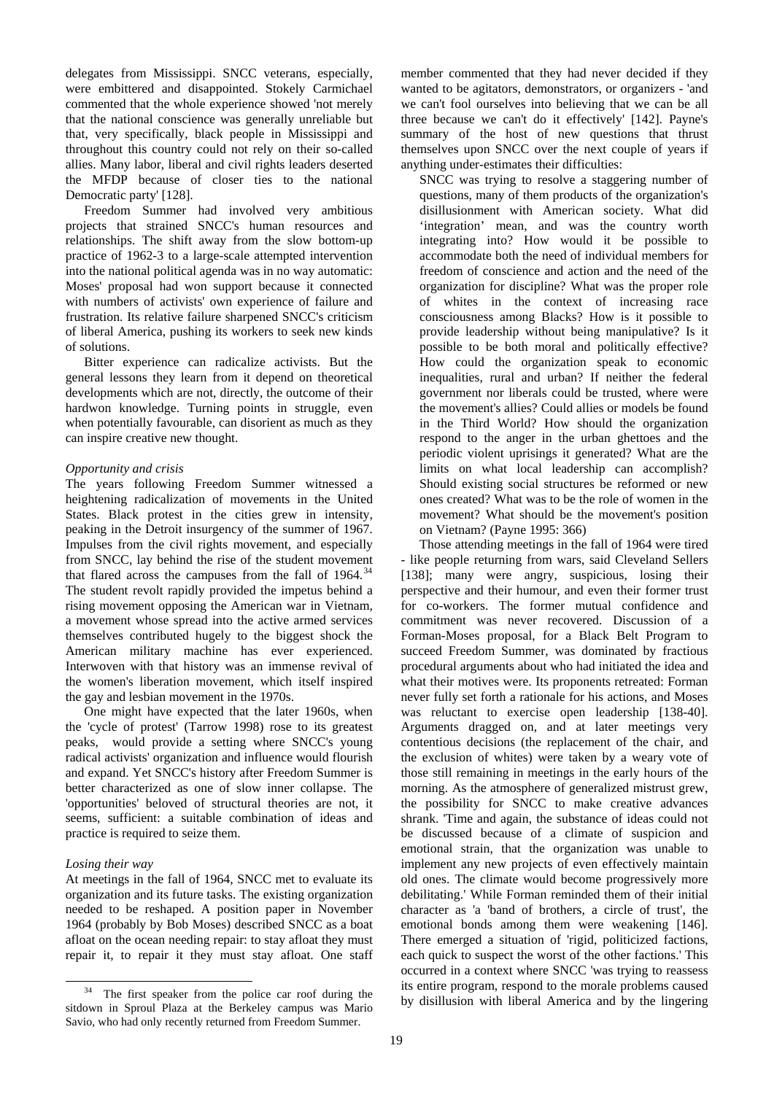delegates from Mississippi. SNCC veterans, especially, were embittered and disappointed. Stokely Carmichael commented that the whole experience showed 'not merely that the national conscience was generally unreliable but that, very specifically, black people in Mississippi and throughout this country could not rely on their so-called allies. Many labor, liberal and civil rights leaders deserted the MFDP because of closer ties to the national Democratic party' [128].

Freedom Summer had involved very ambitious projects that strained SNCC's human resources and relationships. The shift away from the slow bottom-up practice of 1962-3 to a large-scale attempted intervention into the national political agenda was in no way automatic: Moses' proposal had won support because it connected with numbers of activists' own experience of failure and frustration. Its relative failure sharpened SNCC's criticism of liberal America, pushing its workers to seek new kinds of solutions.

Bitter experience can radicalize activists. But the general lessons they learn from it depend on theoretical developments which are not, directly, the outcome of their hardwon knowledge. Turning points in struggle, even when potentially favourable, can disorient as much as they can inspire creative new thought.

# *Opportunity and crisis*

The years following Freedom Summer witnessed a heightening radicalization of movements in the United States. Black protest in the cities grew in intensity, peaking in the Detroit insurgency of the summer of 1967. Impulses from the civil rights movement, and especially from SNCC, lay behind the rise of the student movement that flared across the campuses from the fall of  $1964$ .<sup>[34](#page-18-0)</sup> The student revolt rapidly provided the impetus behind a rising movement opposing the American war in Vietnam, a movement whose spread into the active armed services themselves contributed hugely to the biggest shock the American military machine has ever experienced. Interwoven with that history was an immense revival of the women's liberation movement, which itself inspired the gay and lesbian movement in the 1970s.

One might have expected that the later 1960s, when the 'cycle of protest' (Tarrow 1998) rose to its greatest peaks, would provide a setting where SNCC's young radical activists' organization and influence would flourish and expand. Yet SNCC's history after Freedom Summer is better characterized as one of slow inner collapse. The 'opportunities' beloved of structural theories are not, it seems, sufficient: a suitable combination of ideas and practice is required to seize them.

# *Losing their way*

At meetings in the fall of 1964, SNCC met to evaluate its organization and its future tasks. The existing organization needed to be reshaped. A position paper in November 1964 (probably by Bob Moses) described SNCC as a boat afloat on the ocean needing repair: to stay afloat they must repair it, to repair it they must stay afloat. One staff

member commented that they had never decided if they wanted to be agitators, demonstrators, or organizers - 'and we can't fool ourselves into believing that we can be all three because we can't do it effectively' [142]. Payne's summary of the host of new questions that thrust themselves upon SNCC over the next couple of years if anything under-estimates their difficulties:

SNCC was trying to resolve a staggering number of questions, many of them products of the organization's disillusionment with American society. What did 'integration' mean, and was the country worth integrating into? How would it be possible to accommodate both the need of individual members for freedom of conscience and action and the need of the organization for discipline? What was the proper role of whites in the context of increasing race consciousness among Blacks? How is it possible to provide leadership without being manipulative? Is it possible to be both moral and politically effective? How could the organization speak to economic inequalities, rural and urban? If neither the federal government nor liberals could be trusted, where were the movement's allies? Could allies or models be found in the Third World? How should the organization respond to the anger in the urban ghettoes and the periodic violent uprisings it generated? What are the limits on what local leadership can accomplish? Should existing social structures be reformed or new ones created? What was to be the role of women in the movement? What should be the movement's position on Vietnam? (Payne 1995: 366)

Those attending meetings in the fall of 1964 were tired - like people returning from wars, said Cleveland Sellers [138]; many were angry, suspicious, losing their perspective and their humour, and even their former trust for co-workers. The former mutual confidence and commitment was never recovered. Discussion of a Forman-Moses proposal, for a Black Belt Program to succeed Freedom Summer, was dominated by fractious procedural arguments about who had initiated the idea and what their motives were. Its proponents retreated: Forman never fully set forth a rationale for his actions, and Moses was reluctant to exercise open leadership [138-40]. Arguments dragged on, and at later meetings very contentious decisions (the replacement of the chair, and the exclusion of whites) were taken by a weary vote of those still remaining in meetings in the early hours of the morning. As the atmosphere of generalized mistrust grew, the possibility for SNCC to make creative advances shrank. 'Time and again, the substance of ideas could not be discussed because of a climate of suspicion and emotional strain, that the organization was unable to implement any new projects of even effectively maintain old ones. The climate would become progressively more debilitating.' While Forman reminded them of their initial character as 'a 'band of brothers, a circle of trust', the emotional bonds among them were weakening [146]. There emerged a situation of 'rigid, politicized factions, each quick to suspect the worst of the other factions.' This occurred in a context where SNCC 'was trying to reassess its entire program, respond to the morale problems caused by disillusion with liberal America and by the lingering

<span id="page-18-0"></span> <sup>34</sup> The first speaker from the police car roof during the sitdown in Sproul Plaza at the Berkeley campus was Mario Savio, who had only recently returned from Freedom Summer.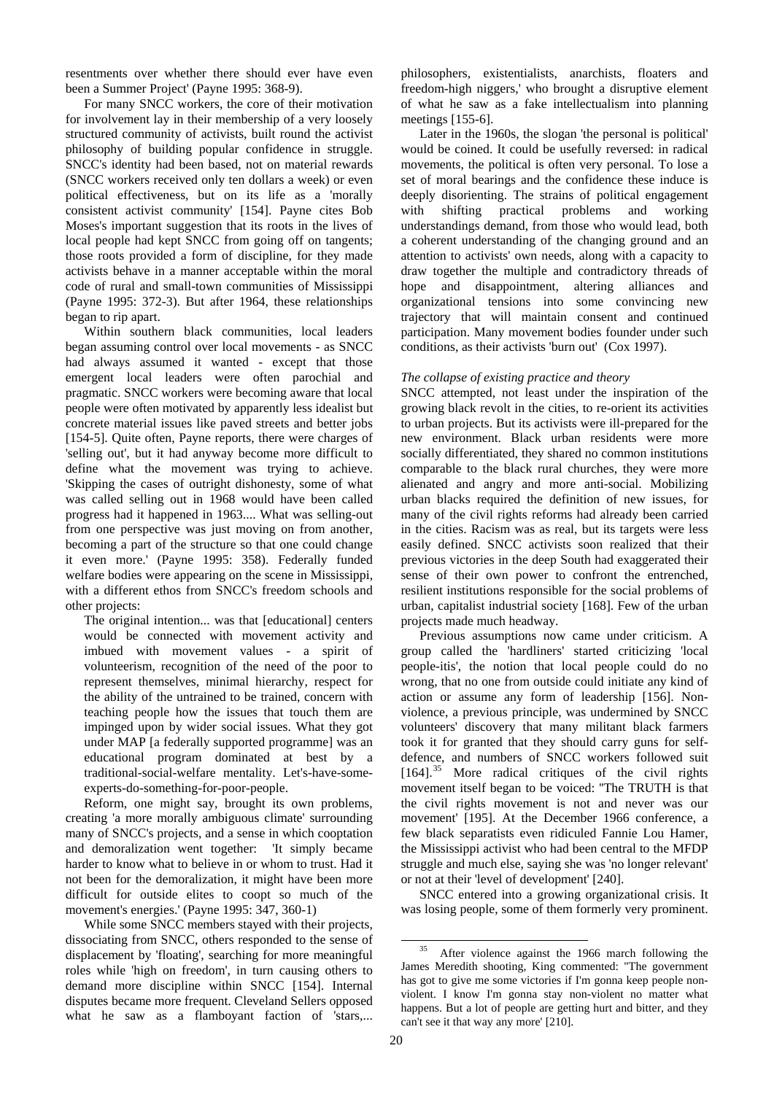resentments over whether there should ever have even been a Summer Project' (Payne 1995: 368-9).

For many SNCC workers, the core of their motivation for involvement lay in their membership of a very loosely structured community of activists, built round the activist philosophy of building popular confidence in struggle. SNCC's identity had been based, not on material rewards (SNCC workers received only ten dollars a week) or even political effectiveness, but on its life as a 'morally consistent activist community' [154]. Payne cites Bob Moses's important suggestion that its roots in the lives of local people had kept SNCC from going off on tangents; those roots provided a form of discipline, for they made activists behave in a manner acceptable within the moral code of rural and small-town communities of Mississippi (Payne 1995: 372-3). But after 1964, these relationships began to rip apart.

Within southern black communities, local leaders began assuming control over local movements - as SNCC had always assumed it wanted - except that those emergent local leaders were often parochial and pragmatic. SNCC workers were becoming aware that local people were often motivated by apparently less idealist but concrete material issues like paved streets and better jobs [154-5]. Quite often, Payne reports, there were charges of 'selling out', but it had anyway become more difficult to define what the movement was trying to achieve. 'Skipping the cases of outright dishonesty, some of what was called selling out in 1968 would have been called progress had it happened in 1963.... What was selling-out from one perspective was just moving on from another, becoming a part of the structure so that one could change it even more.' (Payne 1995: 358). Federally funded welfare bodies were appearing on the scene in Mississippi, with a different ethos from SNCC's freedom schools and other projects:

The original intention... was that [educational] centers would be connected with movement activity and imbued with movement values - a spirit of volunteerism, recognition of the need of the poor to represent themselves, minimal hierarchy, respect for the ability of the untrained to be trained, concern with teaching people how the issues that touch them are impinged upon by wider social issues. What they got under MAP [a federally supported programme] was an educational program dominated at best by a traditional-social-welfare mentality. Let's-have-someexperts-do-something-for-poor-people.

Reform, one might say, brought its own problems, creating 'a more morally ambiguous climate' surrounding many of SNCC's projects, and a sense in which cooptation and demoralization went together: 'It simply became harder to know what to believe in or whom to trust. Had it not been for the demoralization, it might have been more difficult for outside elites to coopt so much of the movement's energies.' (Payne 1995: 347, 360-1)

<span id="page-19-0"></span>While some SNCC members stayed with their projects, dissociating from SNCC, others responded to the sense of displacement by 'floating', searching for more meaningful roles while 'high on freedom', in turn causing others to demand more discipline within SNCC [154]. Internal disputes became more frequent. Cleveland Sellers opposed what he saw as a flamboyant faction of 'stars,...

philosophers, existentialists, anarchists, floaters and freedom-high niggers,' who brought a disruptive element of what he saw as a fake intellectualism into planning meetings [155-6].

Later in the 1960s, the slogan 'the personal is political' would be coined. It could be usefully reversed: in radical movements, the political is often very personal. To lose a set of moral bearings and the confidence these induce is deeply disorienting. The strains of political engagement with shifting practical problems and working understandings demand, from those who would lead, both a coherent understanding of the changing ground and an attention to activists' own needs, along with a capacity to draw together the multiple and contradictory threads of hope and disappointment, altering alliances and organizational tensions into some convincing new trajectory that will maintain consent and continued participation. Many movement bodies founder under such conditions, as their activists 'burn out' (Cox 1997).

### *The collapse of existing practice and theory*

SNCC attempted, not least under the inspiration of the growing black revolt in the cities, to re-orient its activities to urban projects. But its activists were ill-prepared for the new environment. Black urban residents were more socially differentiated, they shared no common institutions comparable to the black rural churches, they were more alienated and angry and more anti-social. Mobilizing urban blacks required the definition of new issues, for many of the civil rights reforms had already been carried in the cities. Racism was as real, but its targets were less easily defined. SNCC activists soon realized that their previous victories in the deep South had exaggerated their sense of their own power to confront the entrenched, resilient institutions responsible for the social problems of urban, capitalist industrial society [168]. Few of the urban projects made much headway.

Previous assumptions now came under criticism. A group called the 'hardliners' started criticizing 'local people-itis', the notion that local people could do no wrong, that no one from outside could initiate any kind of action or assume any form of leadership [156]. Nonviolence, a previous principle, was undermined by SNCC volunteers' discovery that many militant black farmers took it for granted that they should carry guns for selfdefence, and numbers of SNCC workers followed suit  $[164]$ <sup>[35](#page-19-0)</sup> More radical critiques of the civil rights movement itself began to be voiced: ''The TRUTH is that the civil rights movement is not and never was our movement' [195]. At the December 1966 conference, a few black separatists even ridiculed Fannie Lou Hamer, the Mississippi activist who had been central to the MFDP struggle and much else, saying she was 'no longer relevant' or not at their 'level of development' [240].

SNCC entered into a growing organizational crisis. It was losing people, some of them formerly very prominent.

<sup>&</sup>lt;sup>35</sup> After violence against the 1966 march following the James Meredith shooting, King commented: ''The government has got to give me some victories if I'm gonna keep people nonviolent. I know I'm gonna stay non-violent no matter what happens. But a lot of people are getting hurt and bitter, and they can't see it that way any more' [210].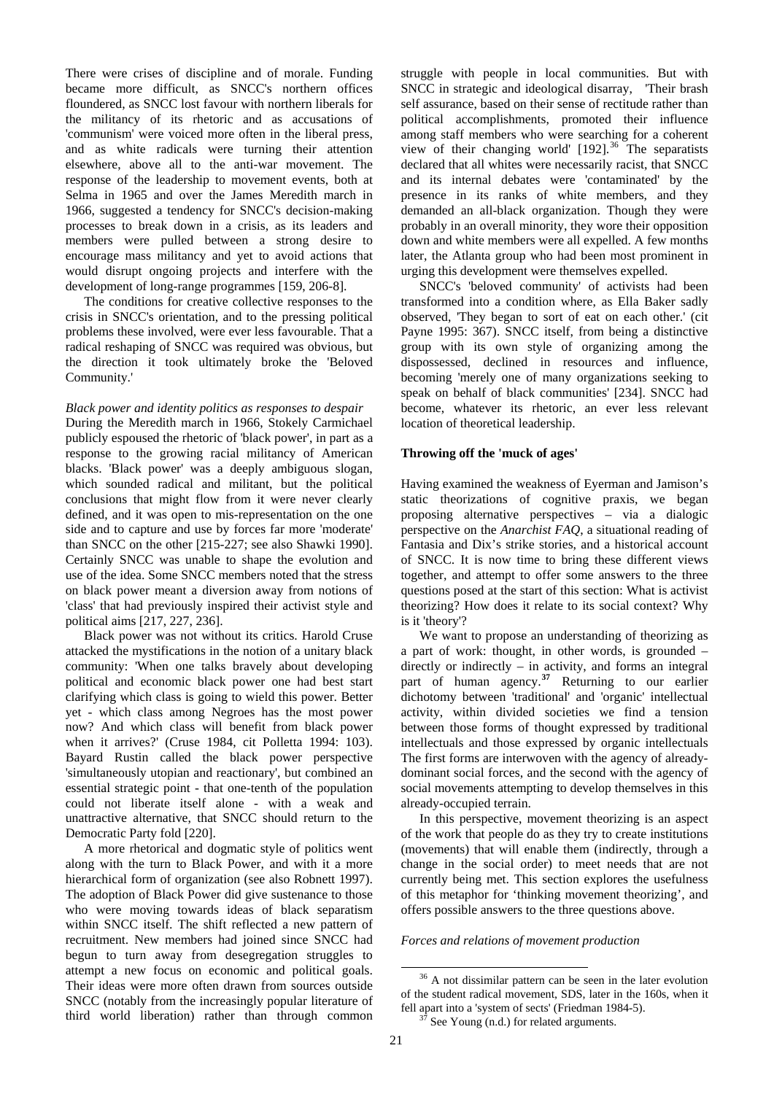There were crises of discipline and of morale. Funding became more difficult, as SNCC's northern offices floundered, as SNCC lost favour with northern liberals for the militancy of its rhetoric and as accusations of 'communism' were voiced more often in the liberal press, and as white radicals were turning their attention elsewhere, above all to the anti-war movement. The response of the leadership to movement events, both at Selma in 1965 and over the James Meredith march in 1966, suggested a tendency for SNCC's decision-making processes to break down in a crisis, as its leaders and members were pulled between a strong desire to encourage mass militancy and yet to avoid actions that would disrupt ongoing projects and interfere with the development of long-range programmes [159, 206-8].

The conditions for creative collective responses to the crisis in SNCC's orientation, and to the pressing political problems these involved, were ever less favourable. That a radical reshaping of SNCC was required was obvious, but the direction it took ultimately broke the 'Beloved Community.'

### *Black power and identity politics as responses to despair*

During the Meredith march in 1966, Stokely Carmichael publicly espoused the rhetoric of 'black power', in part as a response to the growing racial militancy of American blacks. 'Black power' was a deeply ambiguous slogan, which sounded radical and militant, but the political conclusions that might flow from it were never clearly defined, and it was open to mis-representation on the one side and to capture and use by forces far more 'moderate' than SNCC on the other [215-227; see also Shawki 1990]. Certainly SNCC was unable to shape the evolution and use of the idea. Some SNCC members noted that the stress on black power meant a diversion away from notions of 'class' that had previously inspired their activist style and political aims [217, 227, 236].

Black power was not without its critics. Harold Cruse attacked the mystifications in the notion of a unitary black community: 'When one talks bravely about developing political and economic black power one had best start clarifying which class is going to wield this power. Better yet - which class among Negroes has the most power now? And which class will benefit from black power when it arrives?' (Cruse 1984, cit Polletta 1994: 103). Bayard Rustin called the black power perspective 'simultaneously utopian and reactionary', but combined an essential strategic point - that one-tenth of the population could not liberate itself alone - with a weak and unattractive alternative, that SNCC should return to the Democratic Party fold [220].

<span id="page-20-1"></span><span id="page-20-0"></span>A more rhetorical and dogmatic style of politics went along with the turn to Black Power, and with it a more hierarchical form of organization (see also Robnett 1997). The adoption of Black Power did give sustenance to those who were moving towards ideas of black separatism within SNCC itself. The shift reflected a new pattern of recruitment. New members had joined since SNCC had begun to turn away from desegregation struggles to attempt a new focus on economic and political goals. Their ideas were more often drawn from sources outside SNCC (notably from the increasingly popular literature of third world liberation) rather than through common struggle with people in local communities. But with SNCC in strategic and ideological disarray, 'Their brash self assurance, based on their sense of rectitude rather than political accomplishments, promoted their influence among staff members who were searching for a coherent view of their changing world'  $[192]$ .<sup>[36](#page-20-0)</sup> The separatists declared that all whites were necessarily racist, that SNCC and its internal debates were 'contaminated' by the presence in its ranks of white members, and they demanded an all-black organization. Though they were probably in an overall minority, they wore their opposition down and white members were all expelled. A few months later, the Atlanta group who had been most prominent in urging this development were themselves expelled.

SNCC's 'beloved community' of activists had been transformed into a condition where, as Ella Baker sadly observed, 'They began to sort of eat on each other.' (cit Payne 1995: 367). SNCC itself, from being a distinctive group with its own style of organizing among the dispossessed, declined in resources and influence, becoming 'merely one of many organizations seeking to speak on behalf of black communities' [234]. SNCC had become, whatever its rhetoric, an ever less relevant location of theoretical leadership.

## **Throwing off the 'muck of ages'**

Having examined the weakness of Eyerman and Jamison's static theorizations of cognitive praxis, we began proposing alternative perspectives – via a dialogic perspective on the *Anarchist FAQ*, a situational reading of Fantasia and Dix's strike stories, and a historical account of SNCC. It is now time to bring these different views together, and attempt to offer some answers to the three questions posed at the start of this section: What is activist theorizing? How does it relate to its social context? Why is it 'theory'?

We want to propose an understanding of theorizing as a part of work: thought, in other words, is grounded – directly or indirectly – in activity, and forms an integral part of human agency.**[37](#page-20-1)** Returning to our earlier dichotomy between 'traditional' and 'organic' intellectual activity, within divided societies we find a tension between those forms of thought expressed by traditional intellectuals and those expressed by organic intellectuals The first forms are interwoven with the agency of alreadydominant social forces, and the second with the agency of social movements attempting to develop themselves in this already-occupied terrain.

In this perspective, movement theorizing is an aspect of the work that people do as they try to create institutions (movements) that will enable them (indirectly, through a change in the social order) to meet needs that are not currently being met. This section explores the usefulness of this metaphor for 'thinking movement theorizing', and offers possible answers to the three questions above.

## *Forces and relations of movement production*

<sup>&</sup>lt;sup>36</sup> A not dissimilar pattern can be seen in the later evolution of the student radical movement, SDS, later in the 160s, when it fell apart into a 'system of sects' (Friedman 1984-5).  $3^7$  See Young (n.d.) for related arguments.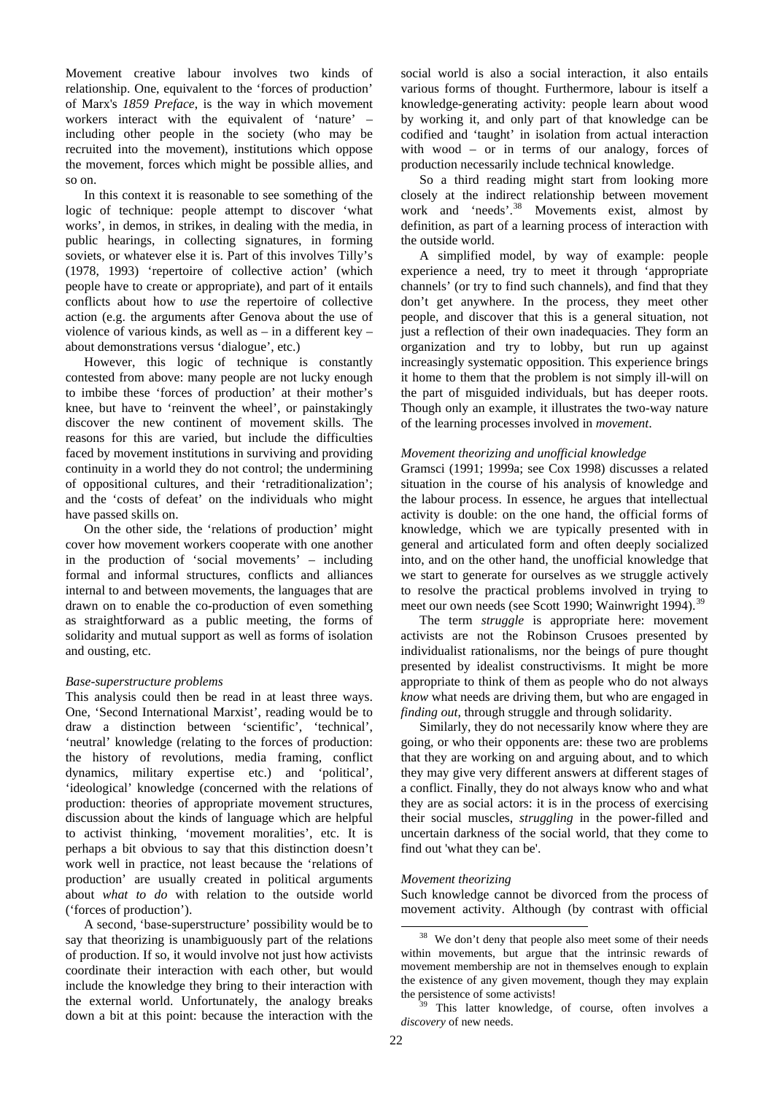Movement creative labour involves two kinds of relationship. One, equivalent to the 'forces of production' of Marx's *1859 Preface*, is the way in which movement workers interact with the equivalent of 'nature' – including other people in the society (who may be recruited into the movement), institutions which oppose the movement, forces which might be possible allies, and so on.

In this context it is reasonable to see something of the logic of technique: people attempt to discover 'what works', in demos, in strikes, in dealing with the media, in public hearings, in collecting signatures, in forming soviets, or whatever else it is. Part of this involves Tilly's (1978, 1993) 'repertoire of collective action' (which people have to create or appropriate), and part of it entails conflicts about how to *use* the repertoire of collective action (e.g. the arguments after Genova about the use of violence of various kinds, as well as – in a different key – about demonstrations versus 'dialogue', etc.)

However, this logic of technique is constantly contested from above: many people are not lucky enough to imbibe these 'forces of production' at their mother's knee, but have to 'reinvent the wheel', or painstakingly discover the new continent of movement skills. The reasons for this are varied, but include the difficulties faced by movement institutions in surviving and providing continuity in a world they do not control; the undermining of oppositional cultures, and their 'retraditionalization'; and the 'costs of defeat' on the individuals who might have passed skills on.

On the other side, the 'relations of production' might cover how movement workers cooperate with one another in the production of 'social movements' – including formal and informal structures, conflicts and alliances internal to and between movements, the languages that are drawn on to enable the co-production of even something as straightforward as a public meeting, the forms of solidarity and mutual support as well as forms of isolation and ousting, etc.

### *Base-superstructure problems*

This analysis could then be read in at least three ways. One, 'Second International Marxist', reading would be to draw a distinction between 'scientific', 'technical', 'neutral' knowledge (relating to the forces of production: the history of revolutions, media framing, conflict dynamics, military expertise etc.) and 'political', 'ideological' knowledge (concerned with the relations of production: theories of appropriate movement structures, discussion about the kinds of language which are helpful to activist thinking, 'movement moralities', etc. It is perhaps a bit obvious to say that this distinction doesn't work well in practice, not least because the 'relations of production' are usually created in political arguments about *what to do* with relation to the outside world ('forces of production').

<span id="page-21-1"></span><span id="page-21-0"></span>A second, 'base-superstructure' possibility would be to say that theorizing is unambiguously part of the relations of production. If so, it would involve not just how activists coordinate their interaction with each other, but would include the knowledge they bring to their interaction with the external world. Unfortunately, the analogy breaks down a bit at this point: because the interaction with the

social world is also a social interaction, it also entails various forms of thought. Furthermore, labour is itself a knowledge-generating activity: people learn about wood by working it, and only part of that knowledge can be codified and 'taught' in isolation from actual interaction with wood – or in terms of our analogy, forces of production necessarily include technical knowledge.

So a third reading might start from looking more closely at the indirect relationship between movement work and 'needs'.<sup>[38](#page-21-0)</sup> Movements exist, almost by definition, as part of a learning process of interaction with the outside world.

A simplified model, by way of example: people experience a need, try to meet it through 'appropriate channels' (or try to find such channels), and find that they don't get anywhere. In the process, they meet other people, and discover that this is a general situation, not just a reflection of their own inadequacies. They form an organization and try to lobby, but run up against increasingly systematic opposition. This experience brings it home to them that the problem is not simply ill-will on the part of misguided individuals, but has deeper roots. Though only an example, it illustrates the two-way nature of the learning processes involved in *movement*.

# *Movement theorizing and unofficial knowledge*

Gramsci (1991; 1999a; see Cox 1998) discusses a related situation in the course of his analysis of knowledge and the labour process. In essence, he argues that intellectual activity is double: on the one hand, the official forms of knowledge, which we are typically presented with in general and articulated form and often deeply socialized into, and on the other hand, the unofficial knowledge that we start to generate for ourselves as we struggle actively to resolve the practical problems involved in trying to meet our own needs (see Scott 1990; Wainwright 1994).<sup>[39](#page-21-1)</sup>

The term *struggle* is appropriate here: movement activists are not the Robinson Crusoes presented by individualist rationalisms, nor the beings of pure thought presented by idealist constructivisms. It might be more appropriate to think of them as people who do not always *know* what needs are driving them, but who are engaged in *finding out*, through struggle and through solidarity.

Similarly, they do not necessarily know where they are going, or who their opponents are: these two are problems that they are working on and arguing about, and to which they may give very different answers at different stages of a conflict. Finally, they do not always know who and what they are as social actors: it is in the process of exercising their social muscles, *struggling* in the power-filled and uncertain darkness of the social world, that they come to find out 'what they can be'.

# *Movement theorizing*

Such knowledge cannot be divorced from the process of movement activity. Although (by contrast with official

<sup>&</sup>lt;sup>38</sup> We don't deny that people also meet some of their needs within movements, but argue that the intrinsic rewards of movement membership are not in themselves enough to explain the existence of any given movement, though they may explain the persistence of some activists!<br><sup>39</sup> This latter knowledge, of course, often involves a

*discovery* of new needs.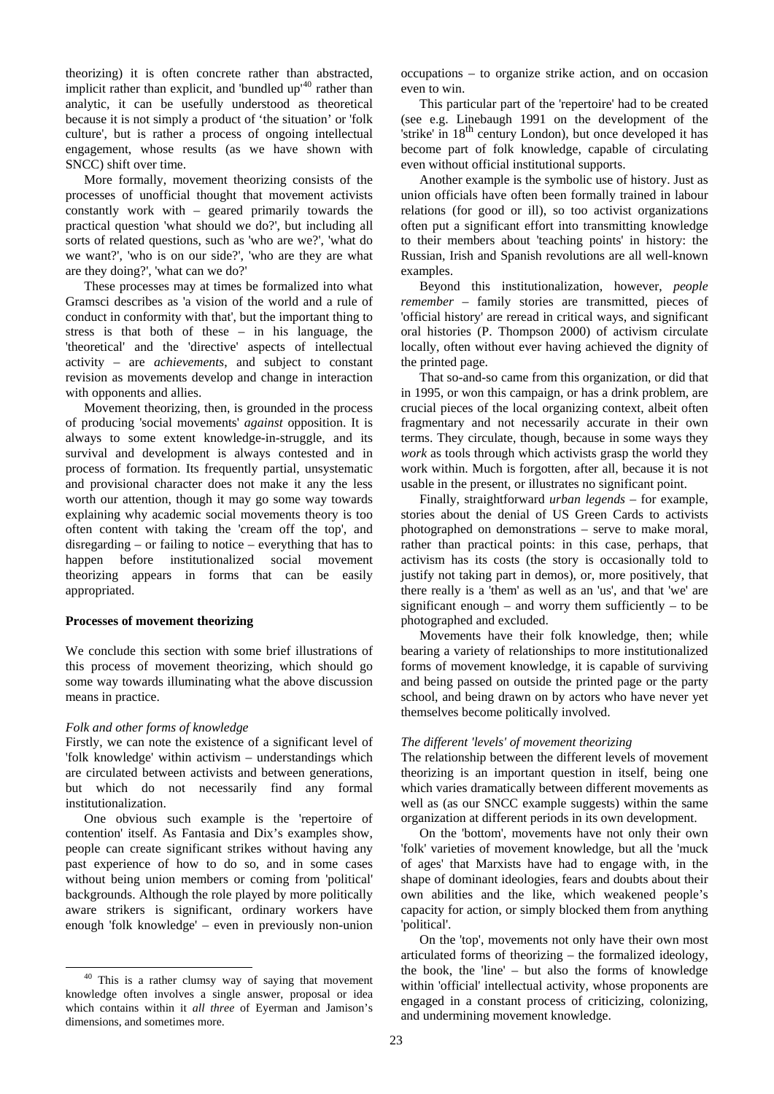theorizing) it is often concrete rather than abstracted, implicit rather than explicit, and 'bundled up'<sup>[40](#page-22-0)</sup> rather than analytic, it can be usefully understood as theoretical because it is not simply a product of 'the situation' or 'folk culture', but is rather a process of ongoing intellectual engagement, whose results (as we have shown with SNCC) shift over time.

More formally, movement theorizing consists of the processes of unofficial thought that movement activists constantly work with – geared primarily towards the practical question 'what should we do?', but including all sorts of related questions, such as 'who are we?', 'what do we want?', 'who is on our side?', 'who are they are what are they doing?', 'what can we do?'

These processes may at times be formalized into what Gramsci describes as 'a vision of the world and a rule of conduct in conformity with that', but the important thing to stress is that both of these – in his language, the 'theoretical' and the 'directive' aspects of intellectual activity – are *achievements*, and subject to constant revision as movements develop and change in interaction with opponents and allies.

Movement theorizing, then, is grounded in the process of producing 'social movements' *against* opposition. It is always to some extent knowledge-in-struggle, and its survival and development is always contested and in process of formation. Its frequently partial, unsystematic and provisional character does not make it any the less worth our attention, though it may go some way towards explaining why academic social movements theory is too often content with taking the 'cream off the top', and disregarding – or failing to notice – everything that has to happen before institutionalized social movement theorizing appears in forms that can be easily appropriated.

### **Processes of movement theorizing**

We conclude this section with some brief illustrations of this process of movement theorizing, which should go some way towards illuminating what the above discussion means in practice.

### *Folk and other forms of knowledge*

Firstly, we can note the existence of a significant level of 'folk knowledge' within activism – understandings which are circulated between activists and between generations, but which do not necessarily find any formal institutionalization.

One obvious such example is the 'repertoire of contention' itself. As Fantasia and Dix's examples show, people can create significant strikes without having any past experience of how to do so, and in some cases without being union members or coming from 'political' backgrounds. Although the role played by more politically aware strikers is significant, ordinary workers have enough 'folk knowledge' – even in previously non-union occupations – to organize strike action, and on occasion even to win.

This particular part of the 'repertoire' had to be created (see e.g. Linebaugh 1991 on the development of the 'strike' in 18<sup>th</sup> century London), but once developed it has become part of folk knowledge, capable of circulating even without official institutional supports.

Another example is the symbolic use of history. Just as union officials have often been formally trained in labour relations (for good or ill), so too activist organizations often put a significant effort into transmitting knowledge to their members about 'teaching points' in history: the Russian, Irish and Spanish revolutions are all well-known examples.

Beyond this institutionalization, however, *people remember* – family stories are transmitted, pieces of 'official history' are reread in critical ways, and significant oral histories (P. Thompson 2000) of activism circulate locally, often without ever having achieved the dignity of the printed page.

That so-and-so came from this organization, or did that in 1995, or won this campaign, or has a drink problem, are crucial pieces of the local organizing context, albeit often fragmentary and not necessarily accurate in their own terms. They circulate, though, because in some ways they *work* as tools through which activists grasp the world they work within. Much is forgotten, after all, because it is not usable in the present, or illustrates no significant point.

Finally, straightforward *urban legends* – for example, stories about the denial of US Green Cards to activists photographed on demonstrations – serve to make moral, rather than practical points: in this case, perhaps, that activism has its costs (the story is occasionally told to justify not taking part in demos), or, more positively, that there really is a 'them' as well as an 'us', and that 'we' are significant enough – and worry them sufficiently – to be photographed and excluded.

Movements have their folk knowledge, then; while bearing a variety of relationships to more institutionalized forms of movement knowledge, it is capable of surviving and being passed on outside the printed page or the party school, and being drawn on by actors who have never yet themselves become politically involved.

# *The different 'levels' of movement theorizing*

The relationship between the different levels of movement theorizing is an important question in itself, being one which varies dramatically between different movements as well as (as our SNCC example suggests) within the same organization at different periods in its own development.

On the 'bottom', movements have not only their own 'folk' varieties of movement knowledge, but all the 'muck of ages' that Marxists have had to engage with, in the shape of dominant ideologies, fears and doubts about their own abilities and the like, which weakened people's capacity for action, or simply blocked them from anything 'political'.

On the 'top', movements not only have their own most articulated forms of theorizing – the formalized ideology, the book, the 'line' – but also the forms of knowledge within 'official' intellectual activity, whose proponents are engaged in a constant process of criticizing, colonizing, and undermining movement knowledge.

<span id="page-22-0"></span> <sup>40</sup> This is a rather clumsy way of saying that movement knowledge often involves a single answer, proposal or idea which contains within it *all three* of Eyerman and Jamison's dimensions, and sometimes more.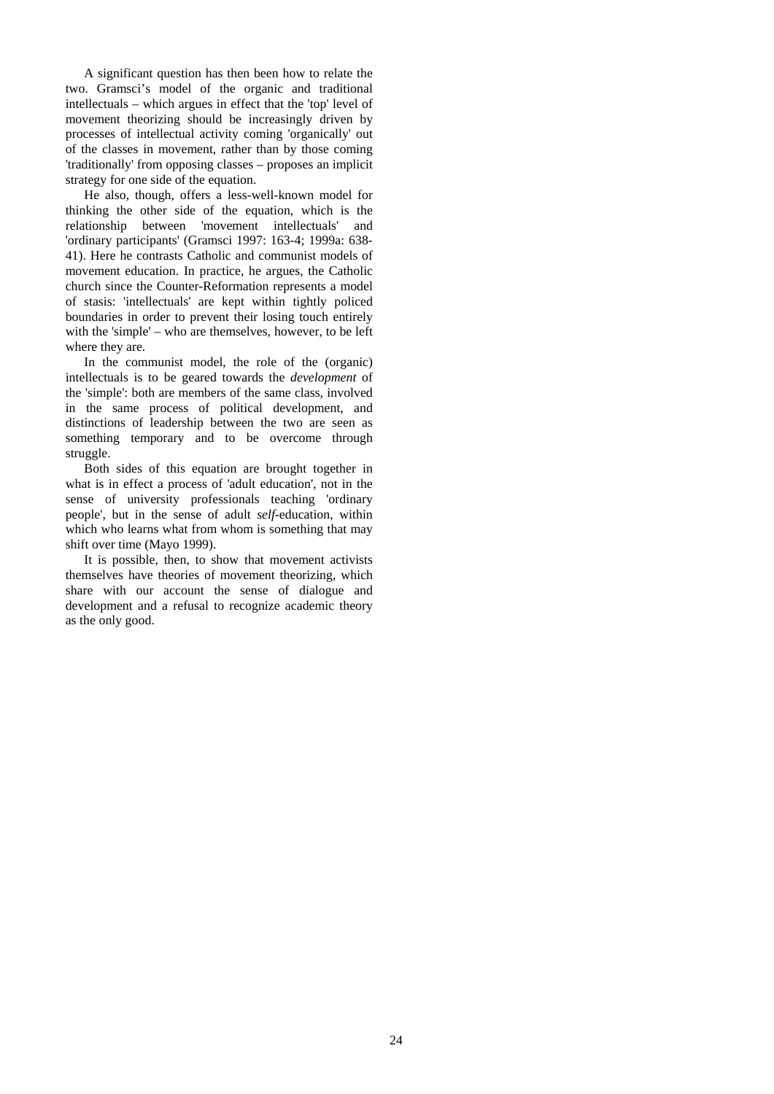A significant question has then been how to relate the two. Gramsci's model of the organic and traditional intellectuals – which argues in effect that the 'top' level of movement theorizing should be increasingly driven by processes of intellectual activity coming 'organically' out of the classes in movement, rather than by those coming 'traditionally' from opposing classes – proposes an implicit strategy for one side of the equation.

He also, though, offers a less-well-known model for thinking the other side of the equation, which is the relationship between 'movement intellectuals' and 'ordinary participants' (Gramsci 1997: 163-4; 1999a: 638- 41). Here he contrasts Catholic and communist models of movement education. In practice, he argues, the Catholic church since the Counter-Reformation represents a model of stasis: 'intellectuals' are kept within tightly policed boundaries in order to prevent their losing touch entirely with the 'simple' – who are themselves, however, to be left where they are.

In the communist model, the role of the (organic) intellectuals is to be geared towards the *development* of the 'simple': both are members of the same class, involved in the same process of political development, and distinctions of leadership between the two are seen as something temporary and to be overcome through struggle.

Both sides of this equation are brought together in what is in effect a process of 'adult education', not in the sense of university professionals teaching 'ordinary people', but in the sense of adult *self*-education, within which who learns what from whom is something that may shift over time (Mayo 1999).

It is possible, then, to show that movement activists themselves have theories of movement theorizing, which share with our account the sense of dialogue and development and a refusal to recognize academic theory as the only good.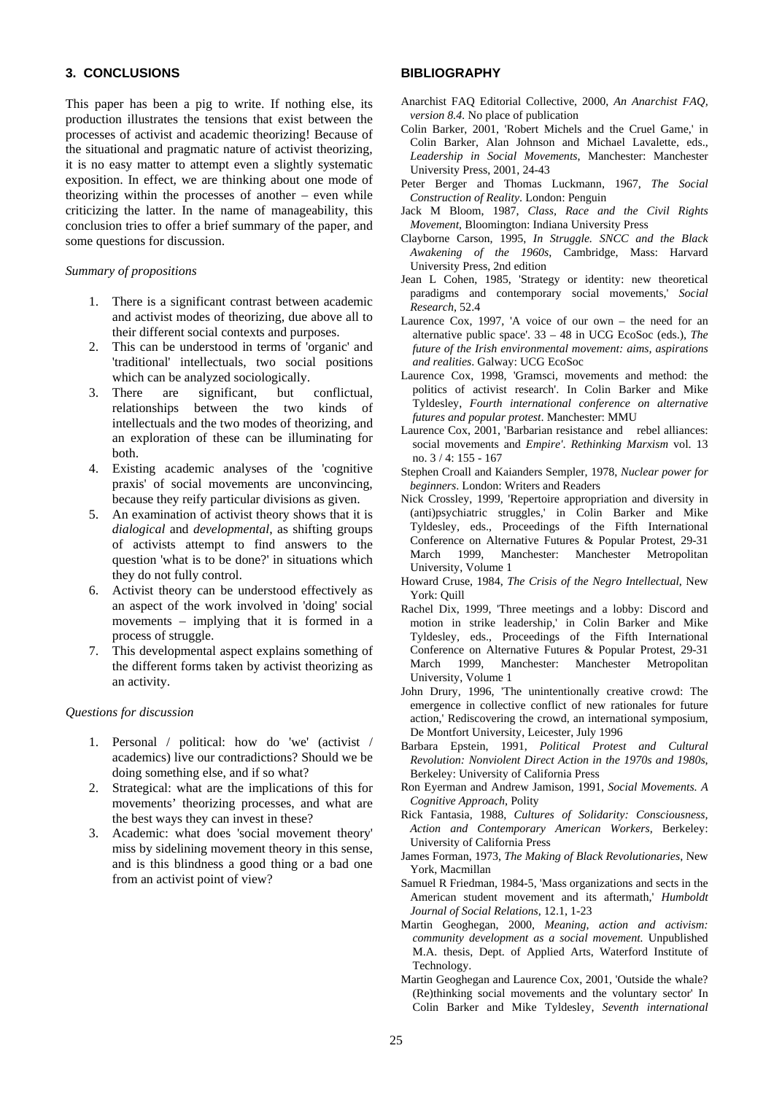# **3. CONCLUSIONS**

This paper has been a pig to write. If nothing else, its production illustrates the tensions that exist between the processes of activist and academic theorizing! Because of the situational and pragmatic nature of activist theorizing, it is no easy matter to attempt even a slightly systematic exposition. In effect, we are thinking about one mode of theorizing within the processes of another – even while criticizing the latter. In the name of manageability, this conclusion tries to offer a brief summary of the paper, and some questions for discussion.

#### *Summary of propositions*

- 1. There is a significant contrast between academic and activist modes of theorizing, due above all to their different social contexts and purposes.
- 2. This can be understood in terms of 'organic' and 'traditional' intellectuals, two social positions which can be analyzed sociologically.
- 3. There are significant, but conflictual, relationships between the two kinds of intellectuals and the two modes of theorizing, and an exploration of these can be illuminating for both.
- 4. Existing academic analyses of the 'cognitive praxis' of social movements are unconvincing, because they reify particular divisions as given.
- 5. An examination of activist theory shows that it is *dialogical* and *developmental*, as shifting groups of activists attempt to find answers to the question 'what is to be done?' in situations which they do not fully control.
- 6. Activist theory can be understood effectively as an aspect of the work involved in 'doing' social movements – implying that it is formed in a process of struggle.
- 7. This developmental aspect explains something of the different forms taken by activist theorizing as an activity.

# *Questions for discussion*

- 1. Personal / political: how do 'we' (activist / academics) live our contradictions? Should we be doing something else, and if so what?
- 2. Strategical: what are the implications of this for movements' theorizing processes, and what are the best ways they can invest in these?
- 3. Academic: what does 'social movement theory' miss by sidelining movement theory in this sense, and is this blindness a good thing or a bad one from an activist point of view?

#### **BIBLIOGRAPHY**

- Anarchist FAQ Editorial Collective, 2000, *An Anarchist FAQ, version 8.4.* No place of publication
- Colin Barker, 2001, 'Robert Michels and the Cruel Game,' in Colin Barker, Alan Johnson and Michael Lavalette, eds., *Leadership in Social Movements*, Manchester: Manchester University Press, 2001, 24-43
- Peter Berger and Thomas Luckmann, 1967, *The Social Construction of Reality*. London: Penguin
- Jack M Bloom, 1987, *Class, Race and the Civil Rights Movement*, Bloomington: Indiana University Press
- Clayborne Carson, 1995, *In Struggle. SNCC and the Black Awakening of the 1960s*, Cambridge, Mass: Harvard University Press, 2nd edition
- Jean L Cohen, 1985, 'Strategy or identity: new theoretical paradigms and contemporary social movements,' *Social Research*, 52.4
- Laurence Cox, 1997, 'A voice of our own the need for an alternative public space'. 33 – 48 in UCG EcoSoc (eds.), *The future of the Irish environmental movement: aims, aspirations and realities*. Galway: UCG EcoSoc
- Laurence Cox, 1998, 'Gramsci, movements and method: the politics of activist research'. In Colin Barker and Mike Tyldesley, *Fourth international conference on alternative futures and popular protest*. Manchester: MMU
- Laurence Cox, 2001, 'Barbarian resistance and rebel alliances: social movements and *Empire'*. *Rethinking Marxism* vol. 13 no. 3 / 4: 155 - 167
- Stephen Croall and Kaianders Sempler, 1978, *Nuclear power for beginners*. London: Writers and Readers
- Nick Crossley, 1999, 'Repertoire appropriation and diversity in (anti)psychiatric struggles,' in Colin Barker and Mike Tyldesley, eds., Proceedings of the Fifth International Conference on Alternative Futures & Popular Protest, 29-31 March 1999, Manchester: Manchester Metropolitan University, Volume 1
- Howard Cruse, 1984, *The Crisis of the Negro Intellectual*, New York: Quill
- Rachel Dix, 1999, 'Three meetings and a lobby: Discord and motion in strike leadership,' in Colin Barker and Mike Tyldesley, eds., Proceedings of the Fifth International Conference on Alternative Futures & Popular Protest, 29-31 March 1999, Manchester: Manchester Metropolitan University, Volume 1
- John Drury, 1996, 'The unintentionally creative crowd: The emergence in collective conflict of new rationales for future action,' Rediscovering the crowd, an international symposium, De Montfort University, Leicester, July 1996
- Barbara Epstein, 1991, *Political Protest and Cultural Revolution: Nonviolent Direct Action in the 1970s and 1980s*, Berkeley: University of California Press
- Ron Eyerman and Andrew Jamison, 1991, *Social Movements. A Cognitive Approach*, Polity
- Rick Fantasia, 1988, *Cultures of Solidarity: Consciousness, Action and Contemporary American Workers*, Berkeley: University of California Press
- James Forman, 1973, *The Making of Black Revolutionaries*, New York, Macmillan
- Samuel R Friedman, 1984-5, 'Mass organizations and sects in the American student movement and its aftermath,' *Humboldt Journal of Social Relations*, 12.1, 1-23
- Martin Geoghegan, 2000, *Meaning, action and activism: community development as a social movement.* Unpublished M.A. thesis, Dept. of Applied Arts, Waterford Institute of Technology.
- Martin Geoghegan and Laurence Cox, 2001, 'Outside the whale? (Re)thinking social movements and the voluntary sector' In Colin Barker and Mike Tyldesley, *Seventh international*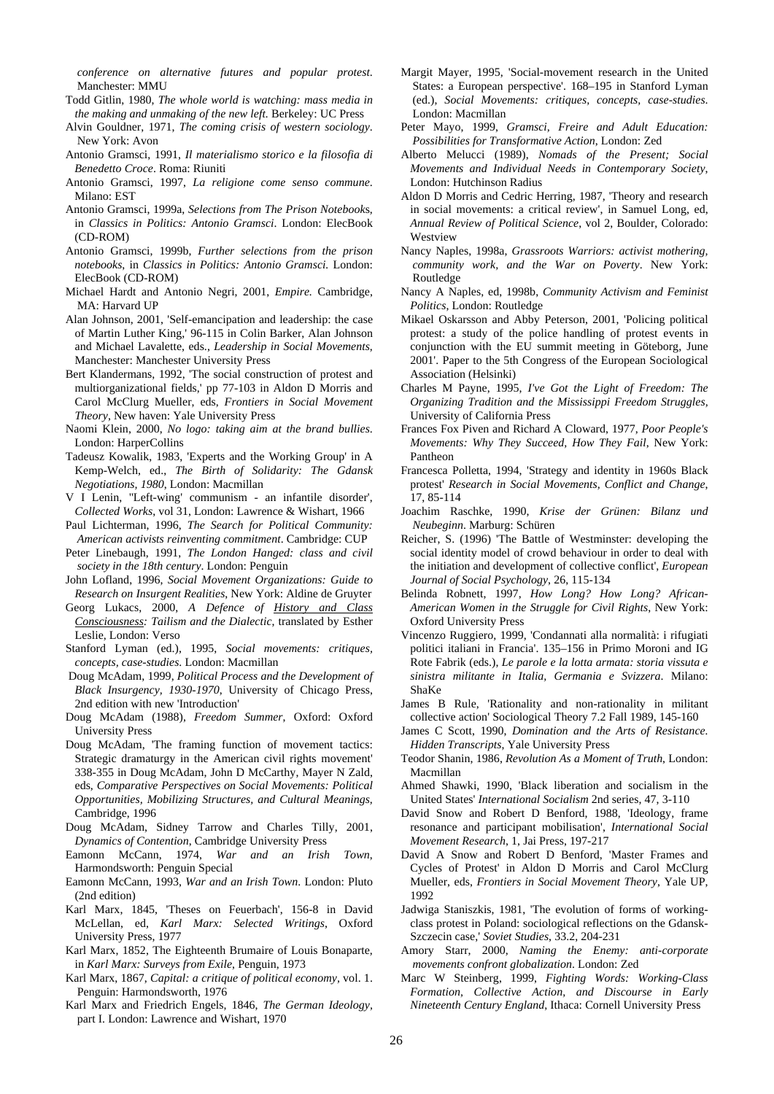*conference on alternative futures and popular protest*. Manchester: MMU

Todd Gitlin, 1980, *The whole world is watching: mass media in the making and unmaking of the new left.* Berkeley: UC Press

Alvin Gouldner, 1971, *The coming crisis of western sociology*. New York: Avon

- Antonio Gramsci, 1991, *Il materialismo storico e la filosofia di Benedetto Croce*. Roma: Riuniti
- Antonio Gramsci, 1997, *La religione come senso commune*. Milano: EST
- Antonio Gramsci, 1999a, *Selections from The Prison Notebook*s, in *Classics in Politics: Antonio Gramsci*. London: ElecBook (CD-ROM)
- Antonio Gramsci, 1999b, *Further selections from the prison notebooks*, in *Classics in Politics: Antonio Gramsci.* London: ElecBook (CD-ROM)
- Michael Hardt and Antonio Negri, 2001, *Empire.* Cambridge, MA: Harvard UP
- Alan Johnson, 2001, 'Self-emancipation and leadership: the case of Martin Luther King,' 96-115 in Colin Barker, Alan Johnson and Michael Lavalette, eds., *Leadership in Social Movements*, Manchester: Manchester University Press
- Bert Klandermans, 1992, 'The social construction of protest and multiorganizational fields,' pp 77-103 in Aldon D Morris and Carol McClurg Mueller, eds, *Frontiers in Social Movement Theory*, New haven: Yale University Press
- Naomi Klein, 2000, *No logo: taking aim at the brand bullies*. London: HarperCollins
- Tadeusz Kowalik, 1983, 'Experts and the Working Group' in A Kemp-Welch, ed., *The Birth of Solidarity: The Gdansk Negotiations, 1980*, London: Macmillan
- V I Lenin, ''Left-wing' communism an infantile disorder', *Collected Works*, vol 31, London: Lawrence & Wishart, 1966
- Paul Lichterman, 1996, *The Search for Political Community: American activists reinventing commitment*. Cambridge: CUP
- Peter Linebaugh, 1991, *The London Hanged: class and civil society in the 18th century*. London: Penguin

John Lofland, 1996, *Social Movement Organizations: Guide to Research on Insurgent Realities*, New York: Aldine de Gruyter

- Georg Lukacs, 2000, *A Defence of History and Class Consciousness: Tailism and the Dialectic*, translated by Esther Leslie, London: Verso
- Stanford Lyman (ed.), 1995, *Social movements: critiques, concepts, case-studies*. London: Macmillan
- Doug McAdam, 1999, *Political Process and the Development of Black Insurgency, 1930-1970*, University of Chicago Press, 2nd edition with new 'Introduction'
- Doug McAdam (1988), *Freedom Summer*, Oxford: Oxford University Press
- Doug McAdam, 'The framing function of movement tactics: Strategic dramaturgy in the American civil rights movement' 338-355 in Doug McAdam, John D McCarthy, Mayer N Zald, eds, *Comparative Perspectives on Social Movements: Political Opportunities, Mobilizing Structures, and Cultural Meanings*, Cambridge, 1996
- Doug McAdam, Sidney Tarrow and Charles Tilly, 2001, *Dynamics of Contention*, Cambridge University Press
- Eamonn McCann, 1974, *War and an Irish Town*, Harmondsworth: Penguin Special
- Eamonn McCann, 1993, *War and an Irish Town*. London: Pluto (2nd edition)
- Karl Marx, 1845, 'Theses on Feuerbach', 156-8 in David McLellan, ed, *Karl Marx: Selected Writings*, Oxford University Press, 1977
- Karl Marx, 1852, The Eighteenth Brumaire of Louis Bonaparte, in *Karl Marx: Surveys from Exile*, Penguin, 1973
- Karl Marx, 1867, *Capital: a critique of political economy,* vol. 1. Penguin: Harmondsworth, 1976
- Karl Marx and Friedrich Engels, 1846, *The German Ideology,* part I. London: Lawrence and Wishart, 1970
- Margit Mayer, 1995, 'Social-movement research in the United States: a European perspective'. 168–195 in Stanford Lyman (ed.), *Social Movements: critiques, concepts, case-studies*. London: Macmillan
- Peter Mayo, 1999, *Gramsci, Freire and Adult Education: Possibilities for Transformative Action*, London: Zed
- Alberto Melucci (1989), *Nomads of the Present; Social Movements and Individual Needs in Contemporary Society*, London: Hutchinson Radius
- Aldon D Morris and Cedric Herring, 1987, 'Theory and research in social movements: a critical review', in Samuel Long, ed, *Annual Review of Political Science*, vol 2, Boulder, Colorado: Westview
- Nancy Naples, 1998a, *Grassroots Warriors: activist mothering, community work, and the War on Poverty*. New York: Routledge
- Nancy A Naples, ed, 1998b, *Community Activism and Feminist Politics*, London: Routledge
- Mikael Oskarsson and Abby Peterson, 2001, 'Policing political protest: a study of the police handling of protest events in conjunction with the EU summit meeting in Göteborg, June 2001'. Paper to the 5th Congress of the European Sociological Association (Helsinki)
- Charles M Payne, 1995, *I've Got the Light of Freedom: The Organizing Tradition and the Mississippi Freedom Struggles,*  University of California Press
- Frances Fox Piven and Richard A Cloward, 1977, *Poor People's Movements: Why They Succeed, How They Fail*, New York: Pantheon
- Francesca Polletta, 1994, 'Strategy and identity in 1960s Black protest' *Research in Social Movements, Conflict and Change*, 17, 85-114
- Joachim Raschke, 1990, *Krise der Grünen: Bilanz und Neubeginn*. Marburg: Schüren
- Reicher, S. (1996) 'The Battle of Westminster: developing the social identity model of crowd behaviour in order to deal with the initiation and development of collective conflict', *European Journal of Social Psychology*, 26, 115-134
- Belinda Robnett, 1997, *How Long? How Long? African-American Women in the Struggle for Civil Rights*, New York: Oxford University Press
- Vincenzo Ruggiero, 1999, 'Condannati alla normalità: i rifugiati politici italiani in Francia'. 135–156 in Primo Moroni and IG Rote Fabrik (eds.), *Le parole e la lotta armata: storia vissuta e sinistra militante in Italia, Germania e Svizzera*. Milano: ShaKe
- James B Rule, 'Rationality and non-rationality in militant collective action' Sociological Theory 7.2 Fall 1989, 145-160
- James C Scott, 1990, *Domination and the Arts of Resistance. Hidden Transcripts*, Yale University Press
- Teodor Shanin, 1986, *Revolution As a Moment of Truth*, London: Macmillan
- Ahmed Shawki, 1990, 'Black liberation and socialism in the United States' *International Socialism* 2nd series, 47, 3-110
- David Snow and Robert D Benford, 1988, 'Ideology, frame resonance and participant mobilisation', *International Social Movement Research*, 1, Jai Press, 197-217
- David A Snow and Robert D Benford, 'Master Frames and Cycles of Protest' in Aldon D Morris and Carol McClurg Mueller, eds, *Frontiers in Social Movement Theory*, Yale UP, 1992
- Jadwiga Staniszkis, 1981, 'The evolution of forms of workingclass protest in Poland: sociological reflections on the Gdansk-Szczecin case,' *Soviet Studies*, 33.2, 204-231
- Amory Starr, 2000, *Naming the Enemy: anti-corporate movements confront globalization*. London: Zed
- Marc W Steinberg, 1999, *Fighting Words: Working-Class Formation, Collective Action, and Discourse in Early Nineteenth Century England*, Ithaca: Cornell University Press